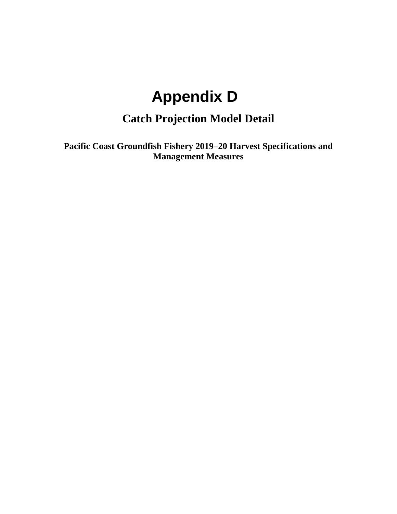# **Appendix D**

# **Catch Projection Model Detail**

<span id="page-0-0"></span>**Pacific Coast Groundfish Fishery 2019–20 Harvest Specifications and Management Measures**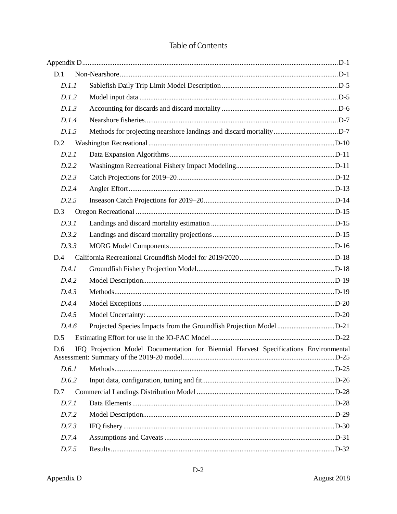| D.1   |                                                                                      |  |
|-------|--------------------------------------------------------------------------------------|--|
| D.1.1 |                                                                                      |  |
| D.1.2 |                                                                                      |  |
| D.1.3 |                                                                                      |  |
| D.1.4 |                                                                                      |  |
| D.1.5 |                                                                                      |  |
| D.2   |                                                                                      |  |
| D.2.1 |                                                                                      |  |
| D.2.2 |                                                                                      |  |
| D.2.3 |                                                                                      |  |
| D.2.4 |                                                                                      |  |
| D.2.5 |                                                                                      |  |
| D.3   |                                                                                      |  |
| D.3.1 |                                                                                      |  |
| D.3.2 |                                                                                      |  |
| D.3.3 |                                                                                      |  |
| D.4   |                                                                                      |  |
| D.4.1 |                                                                                      |  |
| D.4.2 |                                                                                      |  |
| D.4.3 |                                                                                      |  |
| D.4.4 |                                                                                      |  |
| D.4.5 |                                                                                      |  |
| D.4.6 | Projected Species Impacts from the Groundfish Projection Model D-21                  |  |
| D.5   |                                                                                      |  |
| D.6   | IFO Projection Model Documentation for Biennial Harvest Specifications Environmental |  |
| D.6.1 |                                                                                      |  |
| D.6.2 |                                                                                      |  |
| D.7   |                                                                                      |  |
| D.7.1 |                                                                                      |  |
| D.7.2 |                                                                                      |  |
| D.7.3 |                                                                                      |  |
| D.7.4 |                                                                                      |  |
| D.7.5 |                                                                                      |  |

# Table of Contents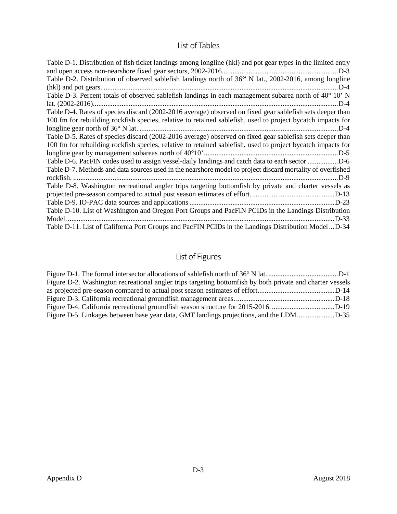# List of Tables

| Table D-1. Distribution of fish ticket landings among longline (hkl) and pot gear types in the limited entry |
|--------------------------------------------------------------------------------------------------------------|
| Table D-2. Distribution of observed sablefish landings north of 36° N lat., 2002-2016, among longline        |
| D-4                                                                                                          |
| Table D-3. Percent totals of observed sablefish landings in each management subarea north of 40° 10' N       |
| D-4                                                                                                          |
| Table D-4. Rates of species discard (2002-2016 average) observed on fixed gear sablefish sets deeper than    |
| 100 fm for rebuilding rockfish species, relative to retained sablefish, used to project bycatch impacts for  |
| D-4                                                                                                          |
| Table D-5. Rates of species discard (2002-2016 average) observed on fixed gear sablefish sets deeper than    |
| 100 fm for rebuilding rockfish species, relative to retained sablefish, used to project bycatch impacts for  |
|                                                                                                              |
| Table D-6. PacFIN codes used to assign vessel-daily landings and catch data to each sector D-6               |
| Table D-7. Methods and data sources used in the nearshore model to project discard mortality of overfished   |
| .D-9                                                                                                         |
| Table D-8. Washington recreational angler trips targeting bottom is by private and charter vessels as        |
|                                                                                                              |
|                                                                                                              |
| Table D-10. List of Washington and Oregon Port Groups and PacFIN PCIDs in the Landings Distribution          |
| D-33                                                                                                         |
| Table D-11. List of California Port Groups and PacFIN PCIDs in the Landings Distribution ModelD-34           |

# List of Figures

| Figure D-2. Washington recreational angler trips targeting bottom ish by both private and charter vessels |  |
|-----------------------------------------------------------------------------------------------------------|--|
|                                                                                                           |  |
|                                                                                                           |  |
|                                                                                                           |  |
| Figure D-5. Linkages between base year data, GMT landings projections, and the LDMD-35                    |  |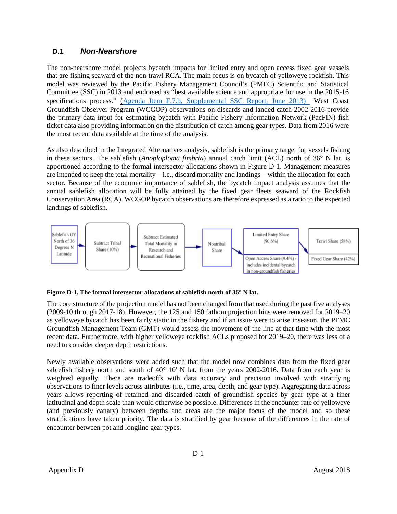# <span id="page-3-0"></span>**D.1** *Non-Nearshore*

The non-nearshore model projects bycatch impacts for limited entry and open access fixed gear vessels that are fishing seaward of the non-trawl RCA. The main focus is on bycatch of yelloweye rockfish. This model was reviewed by the Pacific Fishery Management Council's (PMFC) Scientific and Statistical Committee (SSC) in 2013 and endorsed as "best available science and appropriate for use in the 2015-16 specifications process." [\(Agenda Item F.7.b, Supplemental SSC Report, June 2013\)](http://www.pcouncil.org/wp-content/uploads/F7b_SUP_SSC_JUN2013BB.pdf) West Coast Groundfish Observer Program (WCGOP) observations on discards and landed catch 2002-2016 provide the primary data input for estimating bycatch with Pacific Fishery Information Network (PacFIN) fish ticket data also providing information on the distribution of catch among gear types. Data from 2016 were the most recent data available at the time of the analysis.

As also described in the Integrated Alternatives analysis, sablefish is the primary target for vessels fishing in these sectors. The sablefish (*Anoploploma fimbria*) annual catch limit (ACL) north of 36° N lat. is apportioned according to the formal intersector allocations shown in Figure D-1. Management measures are intended to keep the total mortality—i.e., discard mortality and landings—within the allocation for each sector. Because of the economic importance of sablefish, the bycatch impact analysis assumes that the annual sablefish allocation will be fully attained by the fixed gear fleets seaward of the Rockfish Conservation Area (RCA). WCGOP bycatch observations are therefore expressed as a ratio to the expected landings of sablefish.



#### <span id="page-3-1"></span>**Figure D-1. The formal intersector allocations of sablefish north of 36° N lat.**

The core structure of the projection model has not been changed from that used during the past five analyses (2009-10 through 2017-18). However, the 125 and 150 fathom projection bins were removed for 2019–20 as yelloweye bycatch has been fairly static in the fishery and if an issue were to arise inseason, the PFMC Groundfish Management Team (GMT) would assess the movement of the line at that time with the most recent data. Furthermore, with higher yelloweye rockfish ACLs proposed for 2019–20, there was less of a need to consider deeper depth restrictions.

Newly available observations were added such that the model now combines data from the fixed gear sablefish fishery north and south of 40° 10' N lat. from the years 2002-2016. Data from each year is weighted equally. There are tradeoffs with data accuracy and precision involved with stratifying observations to finer levels across attributes (i.e., time, area, depth, and gear type). Aggregating data across years allows reporting of retained and discarded catch of groundfish species by gear type at a finer latitudinal and depth scale than would otherwise be possible. Differences in the encounter rate of yelloweye (and previously canary) between depths and areas are the major focus of the model and so these stratifications have taken priority. The data is stratified by gear because of the differences in the rate of encounter between pot and longline gear types.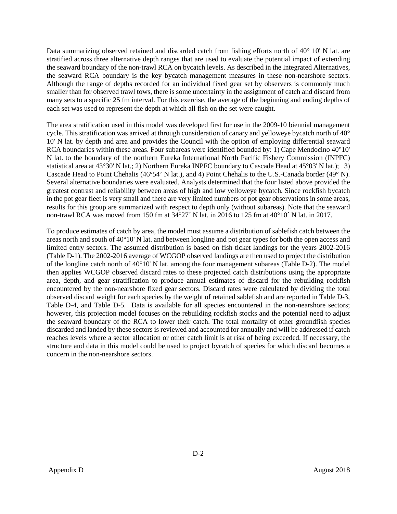Data summarizing observed retained and discarded catch from fishing efforts north of 40° 10' N lat. are stratified across three alternative depth ranges that are used to evaluate the potential impact of extending the seaward boundary of the non-trawl RCA on bycatch levels. As described in the Integrated Alternatives, the seaward RCA boundary is the key bycatch management measures in these non-nearshore sectors. Although the range of depths recorded for an individual fixed gear set by observers is commonly much smaller than for observed trawl tows, there is some uncertainty in the assignment of catch and discard from many sets to a specific 25 fm interval. For this exercise, the average of the beginning and ending depths of each set was used to represent the depth at which all fish on the set were caught.

The area stratification used in this model was developed first for use in the 2009-10 biennial management cycle. This stratification was arrived at through consideration of canary and yelloweye bycatch north of 40° 10' N lat. by depth and area and provides the Council with the option of employing differential seaward RCA boundaries within these areas. Four subareas were identified bounded by: 1) Cape Mendocino 40°10' N lat. to the boundary of the northern Eureka International North Pacific Fishery Commission (INPFC) statistical area at 43°30' N lat.; 2) Northern Eureka INPFC boundary to Cascade Head at 45°03' N lat.); 3) Cascade Head to Point Chehalis (46°54' N lat.), and 4) Point Chehalis to the U.S.-Canada border (49° N). Several alternative boundaries were evaluated. Analysts determined that the four listed above provided the greatest contrast and reliability between areas of high and low yelloweye bycatch. Since rockfish bycatch in the pot gear fleet is very small and there are very limited numbers of pot gear observations in some areas, results for this group are summarized with respect to depth only (without subareas). Note that the seaward non-trawl RCA was moved from 150 fm at 34°27´ N lat. in 2016 to 125 fm at 40°10´ N lat. in 2017.

To produce estimates of catch by area, the model must assume a distribution of sablefish catch between the areas north and south of 40°10' N lat. and between longline and pot gear types for both the open access and limited entry sectors. The assumed distribution is based on fish ticket landings for the years 2002-2016 (Table D-1). The 2002-2016 average of WCGOP observed landings are then used to project the distribution of the longline catch north of 40°10' N lat. among the four management subareas (Table D-2). The model then applies WCGOP observed discard rates to these projected catch distributions using the appropriate area, depth, and gear stratification to produce annual estimates of discard for the rebuilding rockfish encountered by the non-nearshore fixed gear sectors. Discard rates were calculated by dividing the total observed discard weight for each species by the weight of retained sablefish and are reported in Table D-3, Table D-4, and Table D-5. Data is available for all species encountered in the non-nearshore sectors; however, this projection model focuses on the rebuilding rockfish stocks and the potential need to adjust the seaward boundary of the RCA to lower their catch. The total mortality of other groundfish species discarded and landed by these sectors is reviewed and accounted for annually and will be addressed if catch reaches levels where a sector allocation or other catch limit is at risk of being exceeded. If necessary, the structure and data in this model could be used to project bycatch of species for which discard becomes a concern in the non-nearshore sectors.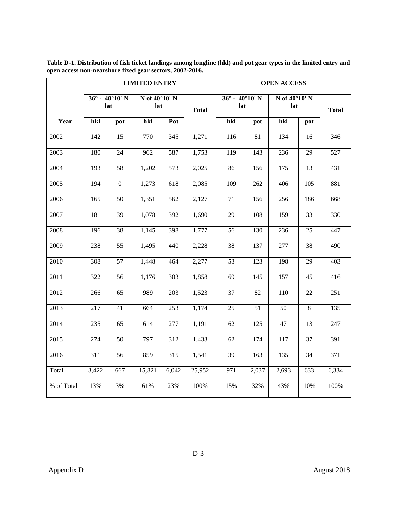|            |       |                                       | <b>LIMITED ENTRY</b>              |                  |              | <b>OPEN ACCESS</b>                 |       |                                   |     |              |  |  |  |
|------------|-------|---------------------------------------|-----------------------------------|------------------|--------------|------------------------------------|-------|-----------------------------------|-----|--------------|--|--|--|
|            |       | $36^\circ$ - 40 $^\circ$ 10' N<br>lat | $\overline{N}$ of 40°10' N<br>lat |                  | <b>Total</b> | $36^\circ - 40^\circ 10'$ N<br>lat |       | $\overline{N}$ of 40°10' N<br>lat |     | <b>Total</b> |  |  |  |
| Year       | hkl   | pot                                   | hkl                               | Pot              |              | hkl                                | pot   | hkl                               | pot |              |  |  |  |
| 2002       | 142   | 15                                    | 770                               | 345              | 1,271        | 116                                | 81    | 134                               | 16  | 346          |  |  |  |
| 2003       | 180   | 24                                    | 962                               | 587              | 1,753        | 119                                | 143   | 236                               | 29  | 527          |  |  |  |
| 2004       | 193   | 58                                    | 1,202                             | 573              | 2,025        | 86                                 | 156   | 175                               | 13  | 431          |  |  |  |
| 2005       | 194   | $\boldsymbol{0}$                      | 1,273                             | 618              | 2,085        | 109                                | 262   | 406                               | 105 | 881          |  |  |  |
| 2006       | 165   | 50                                    | 1,351                             | 562              | 2,127        | 71                                 | 156   | 256                               | 186 | 668          |  |  |  |
| 2007       | 181   | 39                                    | 1,078                             | 392              | 1,690        | 29                                 | 108   | 159                               | 33  | 330          |  |  |  |
| 2008       | 196   | 38                                    | 1,145                             | 398              | 1,777        | 56                                 | 130   | 236                               | 25  | 447          |  |  |  |
| 2009       | 238   | 55                                    | 1,495                             | 440              | 2,228        | 38                                 | 137   | 277                               | 38  | 490          |  |  |  |
| 2010       | 308   | 57                                    | 1,448                             | 464              | 2,277        | 53                                 | 123   | 198                               | 29  | 403          |  |  |  |
| 2011       | 322   | 56                                    | 1,176                             | $\overline{303}$ | 1,858        | 69                                 | 145   | 157                               | 45  | 416          |  |  |  |
| 2012       | 266   | 65                                    | 989                               | 203              | 1,523        | 37                                 | 82    | 110                               | 22  | 251          |  |  |  |
| 2013       | 217   | 41                                    | 664                               | 253              | 1,174        | 25                                 | 51    | 50                                | 8   | 135          |  |  |  |
| 2014       | 235   | 65                                    | 614                               | 277              | 1,191        | 62                                 | 125   | 47                                | 13  | 247          |  |  |  |
| 2015       | 274   | 50                                    | 797                               | 312              | 1,433        | 62                                 | 174   | 117                               | 37  | 391          |  |  |  |
| 2016       | 311   | 56                                    | 859                               | 315              | 1,541        | 39                                 | 163   | 135                               | 34  | 371          |  |  |  |
| Total      | 3,422 | 667                                   | 15,821                            | 6,042            | 25,952       | 971                                | 2,037 | 2,693                             | 633 | 6,334        |  |  |  |
| % of Total | 13%   | 3%                                    | 61%                               | 23%              | 100%         | 15%                                | 32%   | 43%                               | 10% | 100%         |  |  |  |

<span id="page-5-0"></span>**Table D-1. Distribution of fish ticket landings among longline (hkl) and pot gear types in the limited entry and open access non-nearshore fixed gear sectors, 2002-2016.**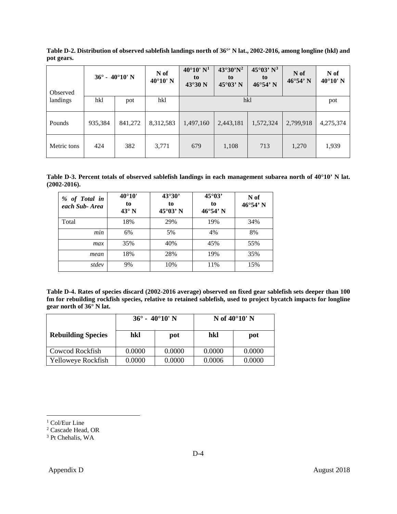| Observed    | $36^\circ$ - 40°10' N |         | N of<br>$40^{\circ}10'$ N | $40^{\circ}10'$ N <sup>1</sup><br>to<br>43°30 N | $43^{\circ}30^{\prime}N^2$<br>to<br>$45^{\circ}03'$ N | 45°03' N <sup>3</sup><br>to<br>$46^{\circ}54'$ N | N of<br>$46^{\circ}54'$ N | N of<br>$40^{\circ}10'$ N |  |  |  |
|-------------|-----------------------|---------|---------------------------|-------------------------------------------------|-------------------------------------------------------|--------------------------------------------------|---------------------------|---------------------------|--|--|--|
| landings    | hkl                   | pot     | hkl                       |                                                 | hkl                                                   |                                                  |                           |                           |  |  |  |
| Pounds      | 935,384               | 841,272 | 8,312,583                 | 1,497,160                                       | 2,443,181                                             | 1,572,324                                        | 2,799,918                 | 4,275,374                 |  |  |  |
| Metric tons | 424                   | 382     | 3,771                     | 679                                             | 1,108                                                 | 713                                              | 1,270                     | 1,939                     |  |  |  |

<span id="page-6-0"></span>**Table D-2. Distribution of observed sablefish landings north of 36°' N lat., 2002-2016, among longline (hkl) and pot gears.** 

<span id="page-6-1"></span>**Table D-3. Percent totals of observed sablefish landings in each management subarea north of 40°10' N lat. (2002-2016).**

| % of Total in<br>each Sub-Area | $40^{\circ}10'$<br>to<br>$43^\circ$ N | 43°30'<br>to<br>$45^{\circ}03'$ N | $45^{\circ}03'$<br>to<br>$46^{\circ}54'$ N | N of<br>$46^{\circ}54'$ N |
|--------------------------------|---------------------------------------|-----------------------------------|--------------------------------------------|---------------------------|
| Total                          | 18%                                   | 29%                               | 19%                                        | 34%                       |
| min                            | 6%                                    | 5%                                | 4%                                         | 8%                        |
| max                            | 35%                                   | 40%                               | 45%                                        | 55%                       |
| mean                           | 18%                                   | 28%                               | 19%                                        | 35%                       |
| stdev                          | 9%                                    | 10%                               | 11%                                        | 15%                       |

<span id="page-6-2"></span>**Table D-4. Rates of species discard (2002-2016 average) observed on fixed gear sablefish sets deeper than 100 fm for rebuilding rockfish species, relative to retained sablefish, used to project bycatch impacts for longline gear north of 36° N lat.**

|                           |        | $36^\circ$ - 40 $^\circ$ 10' N | N of $40^{\circ}10'$ N |        |  |  |  |  |
|---------------------------|--------|--------------------------------|------------------------|--------|--|--|--|--|
| <b>Rebuilding Species</b> | hkl    | pot                            | hkl                    | pot    |  |  |  |  |
| <b>Cowcod Rockfish</b>    | 0.0000 | 0.0000                         | 0.0000                 | 0.0000 |  |  |  |  |
| Yelloweye Rockfish        | 0.0000 | 0.0000                         | 0.0006                 | 0.0000 |  |  |  |  |

<span id="page-6-3"></span><sup>&</sup>lt;sup>1</sup> Col/Eur Line

<span id="page-6-4"></span><sup>2</sup> Cascade Head, OR

<span id="page-6-5"></span><sup>&</sup>lt;sup>3</sup> Pt Chehalis, WA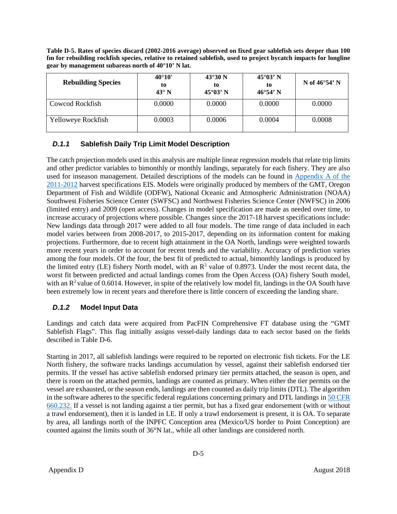<span id="page-7-2"></span>**Table D-5. Rates of species discard (2002-2016 average) observed on fixed gear sablefish sets deeper than 100 fm for rebuilding rockfish species, relative to retained sablefish, used to project bycatch impacts for longline gear by management subareas north of 40°10' N lat.**

| <b>Rebuilding Species</b> | $40^{\circ}10'$<br>to<br>$43^\circ$ N | $43^\circ 30$ N<br>to<br>$45^{\circ}03'$ N | $45^{\circ}03'$ N<br>tο<br>$46^{\circ}54'$ N | N of $46^{\circ}54'$ N |
|---------------------------|---------------------------------------|--------------------------------------------|----------------------------------------------|------------------------|
| Cowcod Rockfish           | 0.0000                                | 0.0000                                     | 0.0000                                       | 0.0000                 |
| Yelloweye Rockfish        | 0.0003                                | 0.0006                                     | 0.0004                                       | 0.0008                 |

# <span id="page-7-0"></span>*D.1.1* **Sablefish Daily Trip Limit Model Description**

The catch projection models used in this analysis are multiple linear regression models that relate trip limits and other predictor variables to bimonthly or monthly landings, separately for each fishery. They are also used for inseason management. Detailed descriptions of the models can be found in [Appendix A of the](http://www.pcouncil.org/groundfish/fishery-management-plan/fmp-amendment-16-5/#16-5)  [2011-2012](http://www.pcouncil.org/groundfish/fishery-management-plan/fmp-amendment-16-5/#16-5) harvest specifications EIS. Models were originally produced by members of the GMT, Oregon Department of Fish and Wildlife (ODFW), National Oceanic and Atmospheric Administration (NOAA) Southwest Fisheries Science Center (SWFSC) and Northwest Fisheries Science Center (NWFSC) in 2006 (limited entry) and 2009 (open access). Changes in model specification are made as needed over time, to increase accuracy of projections where possible. Changes since the 2017-18 harvest specifications include: New landings data through 2017 were added to all four models. The time range of data included in each model varies between from 2008-2017, to 2015-2017, depending on its information content for making projections. Furthermore, due to recent high attainment in the OA North, landings were weighted towards more recent years in order to account for recent trends and the variability. Accuracy of prediction varies among the four models. Of the four, the best fit of predicted to actual, bimonthly landings is produced by the limited entry (LE) fishery North model, with an  $\mathbb{R}^2$  value of 0.8973. Under the most recent data, the worst fit between predicted and actual landings comes from the Open Access (OA) fishery South model, with an  $R^2$  value of 0.6014. However, in spite of the relatively low model fit, landings in the OA South have been extremely low in recent years and therefore there is little concern of exceeding the landing share.

# <span id="page-7-1"></span>*D.1.2* **Model Input Data**

Landings and catch data were acquired from PacFIN Comprehensive FT database using the "GMT Sablefish Flags". This flag initially assigns vessel-daily landings data to each sector based on the fields described i[n Table D-6.](#page-8-1)

Starting in 2017, all sablefish landings were required to be reported on electronic fish tickets. For the LE North fishery, the software tracks landings accumulation by vessel, against their sablefish endorsed tier permits. If the vessel has active sablefish endorsed primary tier permits attached, the season is open, and there is room on the attached permits, landings are counted as primary. When either the tier permits on the vessel are exhausted, or the season ends, landings are then counted as daily trip limits (DTL). The algorithm in the software adheres to the specific federal regulations concerning primary and DTL landings i[n 50 CFR](https://www.law.cornell.edu/cfr/text/50/660.232)  [660.232.](https://www.law.cornell.edu/cfr/text/50/660.232) If a vessel is not landing against a tier permit, but has a fixed gear endorsement (with or without a trawl endorsement), then it is landed in LE. If only a trawl endorsement is present, it is OA. To separate by area, all landings north of the INPFC Conception area (Mexico/US border to Point Conception) are counted against the limits south of 36°N lat., while all other landings are considered north.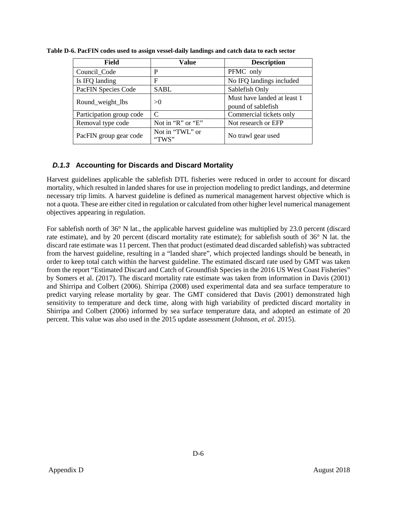| <b>Field</b>             | Value                     | <b>Description</b>                                |
|--------------------------|---------------------------|---------------------------------------------------|
| Council Code             | P                         | PFMC only                                         |
| Is IFQ landing           | F                         | No IFQ landings included                          |
| PacFIN Species Code      | SABL                      | Sablefish Only                                    |
| Round_weight_lbs         | >0                        | Must have landed at least 1<br>pound of sablefish |
| Participation group code | C                         | Commercial tickets only                           |
| Removal type code        | Not in " $R$ " or " $E$ " | Not research or EFP                               |
| PacFIN group gear code   | Not in "TWL" or<br>"TWS"  | No trawl gear used                                |

<span id="page-8-1"></span>**Table D-6. PacFIN codes used to assign vessel-daily landings and catch data to each sector**

## <span id="page-8-0"></span>*D.1.3* **Accounting for Discards and Discard Mortality**

Harvest guidelines applicable the sablefish DTL fisheries were reduced in order to account for discard mortality, which resulted in landed shares for use in projection modeling to predict landings, and determine necessary trip limits. A harvest guideline is defined as numerical management harvest objective which is not a quota. These are either cited in regulation or calculated from other higher level numerical management objectives appearing in regulation.

For sablefish north of 36° N lat., the applicable harvest guideline was multiplied by 23.0 percent (discard rate estimate), and by 20 percent (discard mortality rate estimate); for sablefish south of 36° N lat. the discard rate estimate was 11 percent. Then that product (estimated dead discarded sablefish) was subtracted from the harvest guideline, resulting in a "landed share", which projected landings should be beneath, in order to keep total catch within the harvest guideline. The estimated discard rate used by GMT was taken from the report "Estimated Discard and Catch of Groundfish Species in the 2016 US West Coast Fisheries" by Somers et al. (2017). The discard mortality rate estimate was taken from information in Davis (2001) and Shirripa and Colbert (2006). [Shirripa \(](https://www.pcouncil.org/wp-content/uploads/Sable07v3_0.pdf)2008) used experimental data and sea surface temperature to predict varying release mortality by gear. The GMT considered that Davis (2001) demonstrated high sensitivity to temperature and deck time, along with high variability of predicted discard mortality in Shirripa and Colbert (2006) informed by sea surface temperature data, and adopted an estimate of 20 percent. This value was also used in the 2015 update assessment (Johnson*, et al.* 2015).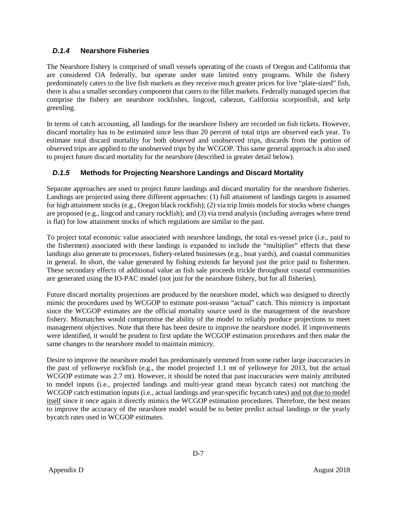# <span id="page-9-0"></span>*D.1.4* **Nearshore Fisheries**

The Nearshore fishery is comprised of small vessels operating of the coasts of Oregon and California that are considered OA federally, but operate under state limited entry programs. While the fishery predominately caters to the live fish markets as they receive much greater prices for live "plate-sized" fish, there is also a smaller secondary component that caters to the fillet markets. Federally managed species that comprise the fishery are nearshore rockfishes, lingcod, cabezon, California scorpionfish, and kelp greenling.

In terms of catch accounting, all landings for the nearshore fishery are recorded on fish tickets. However, discard mortality has to be estimated since less than 20 percent of total trips are observed each year. To estimate total discard mortality for both observed and unobserved trips, discards from the portion of observed trips are applied to the unobserved trips by the WCGOP. This same general approach is also used to project future discard mortality for the nearshore (described in greater detail below).

# <span id="page-9-1"></span>*D.1.5* **Methods for Projecting Nearshore Landings and Discard Mortality**

Separate approaches are used to project future landings and discard mortality for the nearshore fisheries. Landings are projected using three different approaches: (1) full attainment of landings targets is assumed for high attainment stocks (e.g., Oregon black rockfish); (2) via trip limits models for stocks where changes are proposed (e.g., lingcod and canary rockfish); and (3) via trend analysis (including averages where trend is flat) for low attainment stocks of which regulations are similar to the past.

To project total economic value associated with nearshore landings, the total ex-vessel price (i.e., paid to the fishermen) associated with these landings is expanded to include the "multiplier" effects that these landings also generate to processors, fishery-related businesses (e.g., boat yards), and coastal communities in general. In short, the value generated by fishing extends far beyond just the price paid to fishermen. These secondary effects of additional value as fish sale proceeds trickle throughout coastal communities are generated using the IO-PAC model (not just for the nearshore fishery, but for all fisheries).

Future discard mortality projections are produced by the nearshore model, which was designed to directly mimic the procedures used by WCGOP to estimate post-season "actual" catch. This mimicry is important since the WCGOP estimates are the official mortality source used in the management of the nearshore fishery. Mismatches would compromise the ability of the model to reliably produce projections to meet management objectives. Note that there has been desire to improve the nearshore model. If improvements were identified, it would be prudent to first update the WCGOP estimation procedures and then make the same changes to the nearshore model to maintain mimicry.

Desire to improve the nearshore model has predominately stemmed from some rather large inaccuracies in the past of yelloweye rockfish (e.g., the model projected 1.1 mt of yelloweye for 2013, but the actual WCGOP estimate was 2.7 mt). However, it should be noted that past inaccuracies were mainly attributed to model inputs (i.e., projected landings and multi-year grand mean bycatch rates) not matching the WCGOP catch estimation inputs (i.e., actual landings and year-specific bycatch rates) and not due to model itself since it once again it directly mimics the WCGOP estimation procedures. Therefore, the best means to improve the accuracy of the nearshore model would be to better predict actual landings or the yearly bycatch rates used in WCGOP estimates.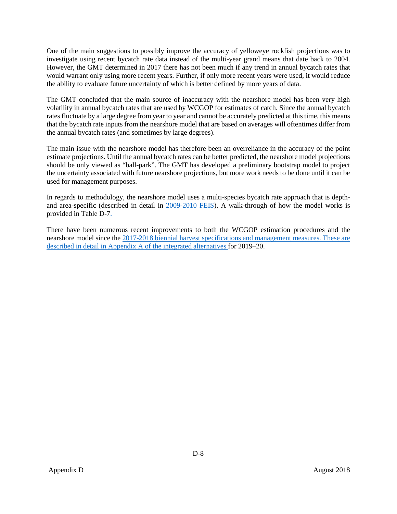One of the main suggestions to possibly improve the accuracy of yelloweye rockfish projections was to investigate using recent bycatch rate data instead of the multi-year grand means that date back to 2004. However, the GMT determined in 2017 there has not been much if any trend in annual bycatch rates that would warrant only using more recent years. Further, if only more recent years were used, it would reduce the ability to evaluate future uncertainty of which is better defined by more years of data.

The GMT concluded that the main source of inaccuracy with the nearshore model has been very high volatility in annual bycatch rates that are used by WCGOP for estimates of catch. Since the annual bycatch rates fluctuate by a large degree from year to year and cannot be accurately predicted at this time, this means that the bycatch rate inputs from the nearshore model that are based on averages will oftentimes differ from the annual bycatch rates (and sometimes by large degrees).

The main issue with the nearshore model has therefore been an overreliance in the accuracy of the point estimate projections. Until the annual bycatch rates can be better predicted, the nearshore model projections should be only viewed as "ball-park". The GMT has developed a preliminary bootstrap model to project the uncertainty associated with future nearshore projections, but more work needs to be done until it can be used for management purposes.

In regards to methodology, the nearshore model uses a multi-species bycatch rate approach that is depthand area-specific (described in detail in [2009-2010 FEIS\)](https://www.pcouncil.org/groundfish/background/document-library/environmental-impact-statements/2009-2010-final-environmental-impact-statement/). A walk-through of how the model works is provided in [Table D-7.](#page-11-0)

There have been numerous recent improvements to both the WCGOP estimation procedures and the nearshore model since the 2017-2018 biennial harvest specifications and management measures. These are described in detail in Appendix A of the integrated alternatives for 2019–20.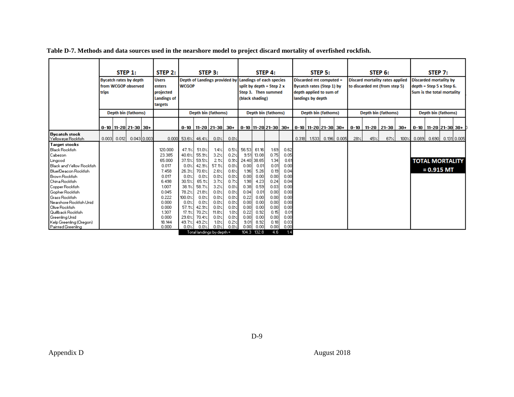**Table D-7. Methods and data sources used in the nearshore model to project discard mortality of overfished rockfish.**

<span id="page-11-0"></span>

|                                                                                                                                                                                                                                                                                                                                                                                                   | STEP 1:<br>STEP 2:<br><b>Bycatch rates by depth</b><br><b>Users</b><br>from WCGOP observed<br>enters<br>trips<br>projected<br><b>Landings of</b><br>targets |       | STEP 3:<br>Depth of Landings provided by Landings of each species<br><b>WCGOP</b> |                                                                                                                                                    |                                                                                                                                           | STEP 4:<br>split by depth = Step $2 x$<br>Step 3. Then summed<br>(black shading)                                                         |                                                                                                                                       |                                                                                                                              | STEP 5:<br>Discarded mt computed =<br>Bycatch rates (Step 1) by<br>depth applied to sum of<br>landings by depth        |                                                                                                                                       |                                                                                                                              | STEP 6:<br><b>Discard mortality rates applied</b><br>to discarded mt (from step 5)                                           |        |       | STEP <sub>7</sub> :<br><b>Discarded mortality by</b><br>$depth = Step 5 x Step 6.$<br>Sum is the total mortality |               |          |     |                     |       |       |                                        |               |  |
|---------------------------------------------------------------------------------------------------------------------------------------------------------------------------------------------------------------------------------------------------------------------------------------------------------------------------------------------------------------------------------------------------|-------------------------------------------------------------------------------------------------------------------------------------------------------------|-------|-----------------------------------------------------------------------------------|----------------------------------------------------------------------------------------------------------------------------------------------------|-------------------------------------------------------------------------------------------------------------------------------------------|------------------------------------------------------------------------------------------------------------------------------------------|---------------------------------------------------------------------------------------------------------------------------------------|------------------------------------------------------------------------------------------------------------------------------|------------------------------------------------------------------------------------------------------------------------|---------------------------------------------------------------------------------------------------------------------------------------|------------------------------------------------------------------------------------------------------------------------------|------------------------------------------------------------------------------------------------------------------------------|--------|-------|------------------------------------------------------------------------------------------------------------------|---------------|----------|-----|---------------------|-------|-------|----------------------------------------|---------------|--|
|                                                                                                                                                                                                                                                                                                                                                                                                   |                                                                                                                                                             |       | Depth bin (fathoms)                                                               |                                                                                                                                                    |                                                                                                                                           |                                                                                                                                          | Depth bin (fathoms)                                                                                                                   |                                                                                                                              |                                                                                                                        |                                                                                                                                       | Depth bin (fathoms)                                                                                                          |                                                                                                                              |        |       | Depth bin (fathoms)                                                                                              |               |          |     | Depth bin (fathoms) |       |       | Depth bin (fathoms)                    |               |  |
|                                                                                                                                                                                                                                                                                                                                                                                                   |                                                                                                                                                             |       | $0-10$   11-20   21-30   30+                                                      |                                                                                                                                                    |                                                                                                                                           |                                                                                                                                          | $0-10$   11-20   21-30   30+                                                                                                          |                                                                                                                              |                                                                                                                        |                                                                                                                                       | $0-10$  11-20   21-30   30+   0-10   11-20   21-30   30+                                                                     |                                                                                                                              |        |       |                                                                                                                  |               | $0 - 10$ |     | 11-20   21-30       | $30+$ |       | 0-10   11-20  21-30  30+               |               |  |
| Bycatch stock<br>Yelloweye Rockfish                                                                                                                                                                                                                                                                                                                                                               | 0.0031                                                                                                                                                      | 0.012 | 0.043 0.003                                                                       |                                                                                                                                                    | $0.000$ 53.6% 46.4%                                                                                                                       |                                                                                                                                          | 0.0%                                                                                                                                  | 0.0%                                                                                                                         |                                                                                                                        |                                                                                                                                       |                                                                                                                              |                                                                                                                              | 0.3181 | 1.533 |                                                                                                                  | $0.196$ 0.005 | 28%      | 45% | 67<                 | 100%  | 0.089 | 0.690                                  | 0.131   0.005 |  |
| <b>Target stocks</b><br><b>Black Rockfish</b><br>Cabezon<br>Lingcod<br><b>Black and Yellow Rockfish</b><br>Blue/Deacon Rockfish<br>Brown Rockfish<br><b>I</b> China Rockfish<br>Copper Rockfish<br>Gopher Rockfish<br><b>G</b> rass Rockfish<br>l Nearshore Rockfish Unid.<br><b>Olive Rockfish</b><br><b>Duilback Rockfish</b><br>Greenling Unid<br>Kelp Greenling (Oregon)<br>Painted Greenling |                                                                                                                                                             |       |                                                                                   | 120.000<br>23.385<br>65,000<br>0.017<br>7.458<br>0.017<br>6.498<br>1.007<br>0.045<br>0.222<br>0.000<br>0.000<br>1.307<br>0.000<br>18, 144<br>0.000 | 47.1%<br>40.6%<br>37.5%<br>0.0%<br>26.3%<br>0.0%<br>30.5%<br>38.1/<br>78.2%<br>100.0%<br>0.0%<br>57.1%<br>17.1%<br>29.6%<br>49.7%<br>0.0% | 51.0%<br>55.9%<br>59.5%<br>42.9%<br>70.6%<br>0.0%<br>65.1%<br>58.7%<br>21.8%<br>0.0%<br>0.0%<br>42.9%<br>70.2%<br>70.4%<br>49.2%<br>0.0% | 1.4%<br>3.2%<br>2.1%<br>57.1%<br>2.6%<br>0.0%<br>3.7%<br>3.2%<br>0.0%<br>0.0%<br>0.0%<br>0.0%<br>$11.8\times$<br>0.0%<br>1.0%<br>0.0% | 0.5%<br>0.2%<br>0.9%<br>0.0%<br>0.6%<br>0.0%<br>0.7%<br>0.0%<br>0.0%<br>0.0%<br>0.0%<br>0.0%<br>1.0%<br>0.0%<br>0.2%<br>0.0% | 56.53<br>9.51<br>0.00<br>1.96<br>0.00<br>1.98<br>0.38<br>0.04<br>0.22<br>0.00<br>0.00<br>0.22<br>0.00<br>9.01<br>0.001 | 61.16<br>13.08<br>24.40 38.65<br>0.01<br>5.26<br>0.00<br>4.23<br>0.59<br>0.01<br>0.00<br>0.00<br>0.00<br>0.92<br>0.00<br>8.92<br>0.00 | 1.69<br>0.75<br>1.34<br>0.01<br>0.19<br>0.00<br>0.24<br>0.03<br>0.00<br>0.00<br>0.00<br>0.00<br>0.15<br>0.00<br>0.18<br>0.00 | 0.62<br>0.05<br>0.61<br>0.00<br>0.04<br>0.00<br>0.04<br>0.00<br>0.00<br>0.00<br>0.00<br>0.00<br>0.01<br>0.00<br>0.03<br>0.00 |        |       |                                                                                                                  |               |          |     |                     |       |       | <b>TOTAL MORTALITY</b><br>$= 0.915$ MT |               |  |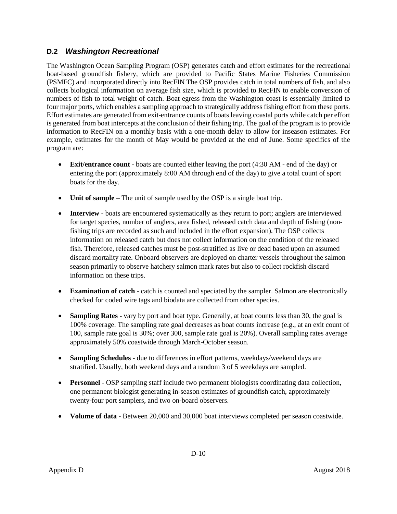# <span id="page-12-0"></span>**D.2** *Washington Recreational*

The Washington Ocean Sampling Program (OSP) generates catch and effort estimates for the recreational boat-based groundfish fishery, which are provided to Pacific States Marine Fisheries Commission (PSMFC) and incorporated directly into RecFIN The OSP provides catch in total numbers of fish, and also collects biological information on average fish size, which is provided to RecFIN to enable conversion of numbers of fish to total weight of catch. Boat egress from the Washington coast is essentially limited to four major ports, which enables a sampling approach to strategically address fishing effort from these ports. Effort estimates are generated from exit-entrance counts of boats leaving coastal ports while catch per effort is generated from boat intercepts at the conclusion of their fishing trip. The goal of the program is to provide information to RecFIN on a monthly basis with a one-month delay to allow for inseason estimates. For example, estimates for the month of May would be provided at the end of June. Some specifics of the program are:

- **Exit/entrance count** boats are counted either leaving the port (4:30 AM end of the day) or entering the port (approximately 8:00 AM through end of the day) to give a total count of sport boats for the day.
- **Unit of sample** The unit of sample used by the OSP is a single boat trip.
- **Interview** boats are encountered systematically as they return to port; anglers are interviewed for target species, number of anglers, area fished, released catch data and depth of fishing (nonfishing trips are recorded as such and included in the effort expansion). The OSP collects information on released catch but does not collect information on the condition of the released fish. Therefore, released catches must be post-stratified as live or dead based upon an assumed discard mortality rate. Onboard observers are deployed on charter vessels throughout the salmon season primarily to observe hatchery salmon mark rates but also to collect rockfish discard information on these trips.
- **Examination of catch** catch is counted and speciated by the sampler. Salmon are electronically checked for coded wire tags and biodata are collected from other species.
- **Sampling Rates** vary by port and boat type. Generally, at boat counts less than 30, the goal is 100% coverage. The sampling rate goal decreases as boat counts increase (e.g., at an exit count of 100, sample rate goal is 30%; over 300, sample rate goal is 20%). Overall sampling rates average approximately 50% coastwide through March-October season.
- **Sampling Schedules** due to differences in effort patterns, weekdays/weekend days are stratified. Usually, both weekend days and a random 3 of 5 weekdays are sampled.
- **Personnel** OSP sampling staff include two permanent biologists coordinating data collection, one permanent biologist generating in-season estimates of groundfish catch, approximately twenty-four port samplers, and two on-board observers.
- **Volume of data** Between 20,000 and 30,000 boat interviews completed per season coastwide.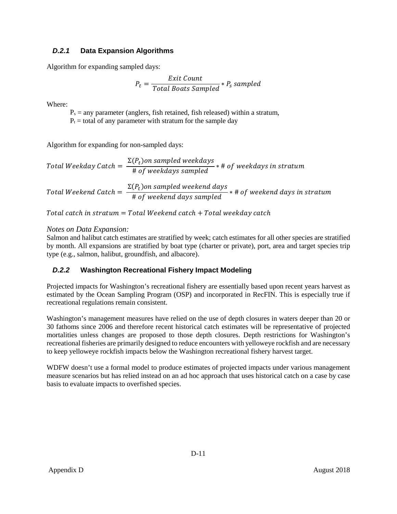# <span id="page-13-0"></span>*D.2.1* **Data Expansion Algorithms**

Algorithm for expanding sampled days:

$$
P_t = \frac{Exit \text{ Count}}{Total \text{ }Boost \text{ } Sampled} * P_s \text{ } sampled
$$

Where:

 $P_s$  = any parameter (anglers, fish retained, fish released) within a stratum,

 $P_t$  = total of any parameter with stratum for the sample day

Algorithm for expanding for non-sampled days:

Total Weekday Catch =  $\frac{\Sigma(P_t)$ on sampled weekdays<br># of weekdays sampled \* # of weekdays sampled \* # of weekdays in str

Total Weekend Catch =  $\frac{\Sigma(P_t)$ on sampled weekend days<br># of weekend days sampled \* # of weekend days sampled

Total catch in stratum  $=$  Total Weekend catch  $+$  Total weekday catch

#### *Notes on Data Expansion:*

Salmon and halibut catch estimates are stratified by week; catch estimates for all other species are stratified by month. All expansions are stratified by boat type (charter or private), port, area and target species trip type (e.g., salmon, halibut, groundfish, and albacore).

# <span id="page-13-1"></span>*D.2.2* **Washington Recreational Fishery Impact Modeling**

Projected impacts for Washington's recreational fishery are essentially based upon recent years harvest as estimated by the Ocean Sampling Program (OSP) and incorporated in RecFIN. This is especially true if recreational regulations remain consistent.

Washington's management measures have relied on the use of depth closures in waters deeper than 20 or 30 fathoms since 2006 and therefore recent historical catch estimates will be representative of projected mortalities unless changes are proposed to those depth closures. Depth restrictions for Washington's recreational fisheries are primarily designed to reduce encounters with yelloweye rockfish and are necessary to keep yelloweye rockfish impacts below the Washington recreational fishery harvest target.

WDFW doesn't use a formal model to produce estimates of projected impacts under various management measure scenarios but has relied instead on an ad hoc approach that uses historical catch on a case by case basis to evaluate impacts to overfished species.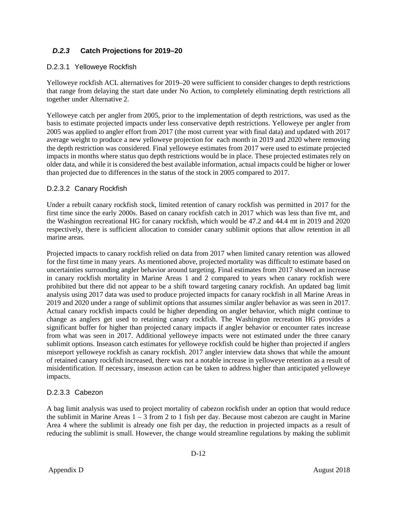# <span id="page-14-0"></span>*D.2.3* **Catch Projections for 2019–20**

#### D.2.3.1 Yelloweye Rockfish

Yelloweye rockfish ACL alternatives for 2019–20 were sufficient to consider changes to depth restrictions that range from delaying the start date under No Action, to completely eliminating depth restrictions all together under Alternative 2.

Yelloweye catch per angler from 2005, prior to the implementation of depth restrictions, was used as the basis to estimate projected impacts under less conservative depth restrictions. Yelloweye per angler from 2005 was applied to angler effort from 2017 (the most current year with final data) and updated with 2017 average weight to produce a new yelloweye projection for each month in 2019 and 2020 where removing the depth restriction was considered. Final yelloweye estimates from 2017 were used to estimate projected impacts in months where status quo depth restrictions would be in place. These projected estimates rely on older data, and while it is considered the best available information, actual impacts could be higher or lower than projected due to differences in the status of the stock in 2005 compared to 2017.

#### D.2.3.2 Canary Rockfish

Under a rebuilt canary rockfish stock, limited retention of canary rockfish was permitted in 2017 for the first time since the early 2000s. Based on canary rockfish catch in 2017 which was less than five mt, and the Washington recreational HG for canary rockfish, which would be 47.2 and 44.4 mt in 2019 and 2020 respectively, there is sufficient allocation to consider canary sublimit options that allow retention in all marine areas.

Projected impacts to canary rockfish relied on data from 2017 when limited canary retention was allowed for the first time in many years. As mentioned above, projected mortality was difficult to estimate based on uncertainties surrounding angler behavior around targeting. Final estimates from 2017 showed an increase in canary rockfish mortality in Marine Areas 1 and 2 compared to years when canary rockfish were prohibited but there did not appear to be a shift toward targeting canary rockfish. An updated bag limit analysis using 2017 data was used to produce projected impacts for canary rockfish in all Marine Areas in 2019 and 2020 under a range of sublimit options that assumes similar angler behavior as was seen in 2017. Actual canary rockfish impacts could be higher depending on angler behavior, which might continue to change as anglers get used to retaining canary rockfish. The Washington recreation HG provides a significant buffer for higher than projected canary impacts if angler behavior or encounter rates increase from what was seen in 2017. Additional yelloweye impacts were not estimated under the three canary sublimit options. Inseason catch estimates for yelloweye rockfish could be higher than projected if anglers misreport yelloweye rockfish as canary rockfish. 2017 angler interview data shows that while the amount of retained canary rockfish increased, there was not a notable increase in yelloweye retention as a result of misidentification. If necessary, inseason action can be taken to address higher than anticipated yelloweye impacts.

#### D.2.3.3 Cabezon

A bag limit analysis was used to project mortality of cabezon rockfish under an option that would reduce the sublimit in Marine Areas 1 – 3 from 2 to 1 fish per day. Because most cabezon are caught in Marine Area 4 where the sublimit is already one fish per day, the reduction in projected impacts as a result of reducing the sublimit is small. However, the change would streamline regulations by making the sublimit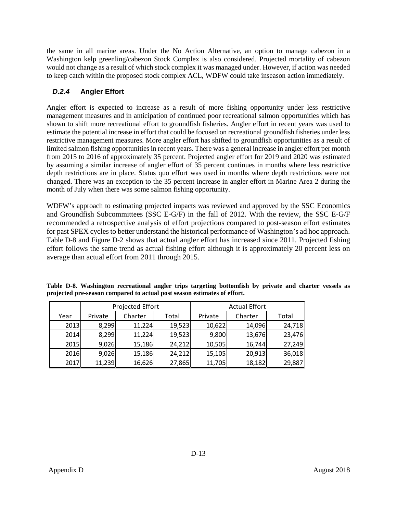the same in all marine areas. Under the No Action Alternative, an option to manage cabezon in a Washington kelp greenling/cabezon Stock Complex is also considered. Projected mortality of cabezon would not change as a result of which stock complex it was managed under. However, if action was needed to keep catch within the proposed stock complex ACL, WDFW could take inseason action immediately.

# <span id="page-15-0"></span>*D.2.4* **Angler Effort**

Angler effort is expected to increase as a result of more fishing opportunity under less restrictive management measures and in anticipation of continued poor recreational salmon opportunities which has shown to shift more recreational effort to groundfish fisheries. Angler effort in recent years was used to estimate the potential increase in effort that could be focused on recreational groundfish fisheries under less restrictive management measures. More angler effort has shifted to groundfish opportunities as a result of limited salmon fishing opportunities in recent years. There was a general increase in angler effort per month from 2015 to 2016 of approximately 35 percent. Projected angler effort for 2019 and 2020 was estimated by assuming a similar increase of angler effort of 35 percent continues in months where less restrictive depth restrictions are in place. Status quo effort was used in months where depth restrictions were not changed. There was an exception to the 35 percent increase in angler effort in Marine Area 2 during the month of July when there was some salmon fishing opportunity.

WDFW's approach to estimating projected impacts was reviewed and approved by the SSC Economics and Groundfish Subcommittees (SSC E-G/F) in the fall of 2012. With the review, the SSC E-G/F recommended a retrospective analysis of effort projections compared to post-season effort estimates for past SPEX cycles to better understand the historical performance of Washington's ad hoc approach. [Table D-8](#page-15-1) and [Figure D-2](#page-16-1) shows that actual angler effort has increased since 2011. Projected fishing effort follows the same trend as actual fishing effort although it is approximately 20 percent less on average than actual effort from 2011 through 2015.

|      |         | Projected Effort |        | <b>Actual Effort</b> |         |        |  |  |  |  |
|------|---------|------------------|--------|----------------------|---------|--------|--|--|--|--|
| Year | Private | Charter          | Total  | Private              | Charter | Total  |  |  |  |  |
| 2013 | 8,299   | 11,224           | 19,523 | 10,622               | 14,096  | 24,718 |  |  |  |  |
| 2014 | 8,299   | 11,224           | 19,523 | 9,800                | 13,676  | 23,476 |  |  |  |  |
| 2015 | 9,026   | 15,186           | 24,212 | 10,505               | 16,744  | 27,249 |  |  |  |  |
| 2016 | 9,026   | 15,186           | 24,212 | 15,105               | 20,913  | 36,018 |  |  |  |  |
| 2017 | 11,239  | 16,626           | 27,865 | 11,705               | 18,182  | 29,887 |  |  |  |  |

<span id="page-15-1"></span>**Table D-8. Washington recreational angler trips targeting bottomfish by private and charter vessels as projected pre-season compared to actual post season estimates of effort.**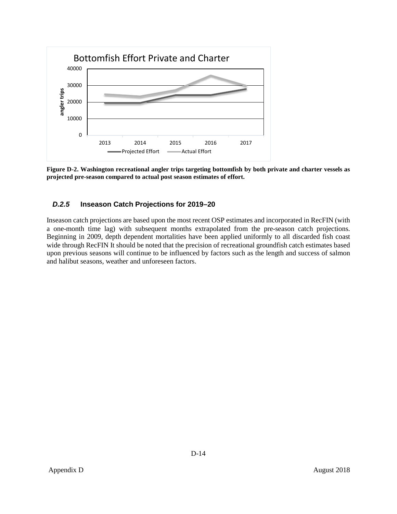

<span id="page-16-1"></span>**Figure D-2. Washington recreational angler trips targeting bottomfish by both private and charter vessels as projected pre-season compared to actual post season estimates of effort.**

## <span id="page-16-0"></span>*D.2.5* **Inseason Catch Projections for 2019–20**

Inseason catch projections are based upon the most recent OSP estimates and incorporated in RecFIN (with a one-month time lag) with subsequent months extrapolated from the pre-season catch projections. Beginning in 2009, depth dependent mortalities have been applied uniformly to all discarded fish coast wide through RecFIN It should be noted that the precision of recreational groundfish catch estimates based upon previous seasons will continue to be influenced by factors such as the length and success of salmon and halibut seasons, weather and unforeseen factors.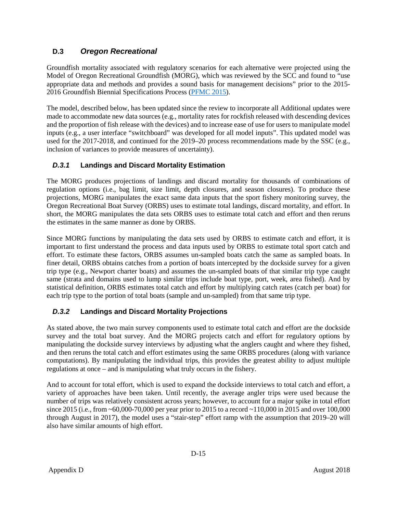# <span id="page-17-0"></span>**D.3** *Oregon Recreational*

Groundfish mortality associated with regulatory scenarios for each alternative were projected using the Model of Oregon Recreational Groundfish (MORG), which was reviewed by the SCC and found to "use appropriate data and methods and provides a sound basis for management decisions" prior to the 2015- 2016 Groundfish Biennial Specifications Process [\(PFMC 2015\)](http://www.pcouncil.org/wp-content/uploads/GF15_16_SpexFEISJanuary2015.pdf).

The model, described below, has been updated since the review to incorporate all Additional updates were made to accommodate new data sources (e.g., mortality rates for rockfish released with descending devices and the proportion of fish release with the devices) and to increase ease of use for users to manipulate model inputs (e.g., a user interface "switchboard" was developed for all model inputs". This updated model was used for the 2017-2018, and continued for the 2019–20 process recommendations made by the SSC (e.g., inclusion of variances to provide measures of uncertainty).

# <span id="page-17-1"></span>*D.3.1* **Landings and Discard Mortality Estimation**

The MORG produces projections of landings and discard mortality for thousands of combinations of regulation options (i.e., bag limit, size limit, depth closures, and season closures). To produce these projections, MORG manipulates the exact same data inputs that the sport fishery monitoring survey, the Oregon Recreational Boat Survey (ORBS) uses to estimate total landings, discard mortality, and effort. In short, the MORG manipulates the data sets ORBS uses to estimate total catch and effort and then reruns the estimates in the same manner as done by ORBS.

Since MORG functions by manipulating the data sets used by ORBS to estimate catch and effort, it is important to first understand the process and data inputs used by ORBS to estimate total sport catch and effort. To estimate these factors, ORBS assumes un-sampled boats catch the same as sampled boats. In finer detail, ORBS obtains catches from a portion of boats intercepted by the dockside survey for a given trip type (e.g., Newport charter boats) and assumes the un-sampled boats of that similar trip type caught same (strata and domains used to lump similar trips include boat type, port, week, area fished). And by statistical definition, ORBS estimates total catch and effort by multiplying catch rates (catch per boat) for each trip type to the portion of total boats (sample and un-sampled) from that same trip type.

# <span id="page-17-2"></span>*D.3.2* **Landings and Discard Mortality Projections**

As stated above, the two main survey components used to estimate total catch and effort are the dockside survey and the total boat survey. And the MORG projects catch and effort for regulatory options by manipulating the dockside survey interviews by adjusting what the anglers caught and where they fished, and then reruns the total catch and effort estimates using the same ORBS procedures (along with variance computations). By manipulating the individual trips, this provides the greatest ability to adjust multiple regulations at once – and is manipulating what truly occurs in the fishery.

And to account for total effort, which is used to expand the dockside interviews to total catch and effort, a variety of approaches have been taken. Until recently, the average angler trips were used because the number of trips was relatively consistent across years; however, to account for a major spike in total effort since 2015 (i.e., from ~60,000-70,000 per year prior to 2015 to a record ~110,000 in 2015 and over 100,000 through August in 2017), the model uses a "stair-step" effort ramp with the assumption that 2019–20 will also have similar amounts of high effort.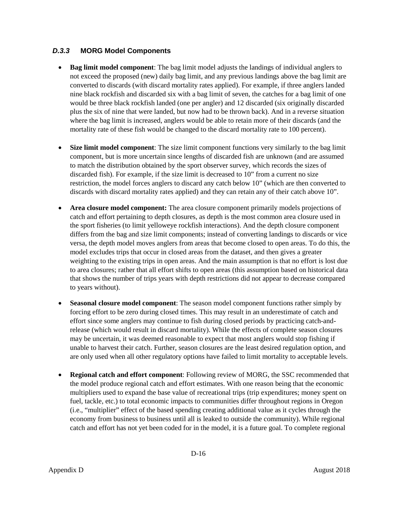#### <span id="page-18-0"></span>*D.3.3* **MORG Model Components**

- **Bag limit model component**: The bag limit model adjusts the landings of individual anglers to not exceed the proposed (new) daily bag limit, and any previous landings above the bag limit are converted to discards (with discard mortality rates applied). For example, if three anglers landed nine black rockfish and discarded six with a bag limit of seven, the catches for a bag limit of one would be three black rockfish landed (one per angler) and 12 discarded (six originally discarded plus the six of nine that were landed, but now had to be thrown back). And in a reverse situation where the bag limit is increased, anglers would be able to retain more of their discards (and the mortality rate of these fish would be changed to the discard mortality rate to 100 percent).
- **Size limit model component:** The size limit component functions very similarly to the bag limit component, but is more uncertain since lengths of discarded fish are unknown (and are assumed to match the distribution obtained by the sport observer survey, which records the sizes of discarded fish). For example, if the size limit is decreased to 10" from a current no size restriction, the model forces anglers to discard any catch below 10" (which are then converted to discards with discard mortality rates applied) and they can retain any of their catch above 10".
- **Area closure model component:** The area closure component primarily models projections of catch and effort pertaining to depth closures, as depth is the most common area closure used in the sport fisheries (to limit yelloweye rockfish interactions). And the depth closure component differs from the bag and size limit components; instead of converting landings to discards or vice versa, the depth model moves anglers from areas that become closed to open areas. To do this, the model excludes trips that occur in closed areas from the dataset, and then gives a greater weighting to the existing trips in open areas. And the main assumption is that no effort is lost due to area closures; rather that all effort shifts to open areas (this assumption based on historical data that shows the number of trips years with depth restrictions did not appear to decrease compared to years without).
- **Seasonal closure model component**: The season model component functions rather simply by forcing effort to be zero during closed times. This may result in an underestimate of catch and effort since some anglers may continue to fish during closed periods by practicing catch-andrelease (which would result in discard mortality). While the effects of complete season closures may be uncertain, it was deemed reasonable to expect that most anglers would stop fishing if unable to harvest their catch. Further, season closures are the least desired regulation option, and are only used when all other regulatory options have failed to limit mortality to acceptable levels.
- **Regional catch and effort component**: Following review of MORG, the SSC recommended that the model produce regional catch and effort estimates. With one reason being that the economic multipliers used to expand the base value of recreational trips (trip expenditures; money spent on fuel, tackle, etc.) to total economic impacts to communities differ throughout regions in Oregon (i.e., "multiplier" effect of the based spending creating additional value as it cycles through the economy from business to business until all is leaked to outside the community). While regional catch and effort has not yet been coded for in the model, it is a future goal. To complete regional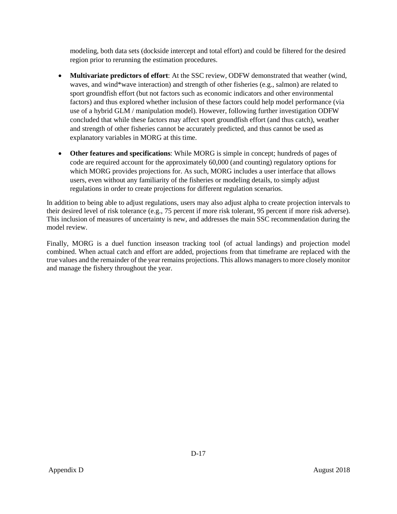modeling, both data sets (dockside intercept and total effort) and could be filtered for the desired region prior to rerunning the estimation procedures.

- **Multivariate predictors of effort:** At the SSC review, ODFW demonstrated that weather (wind, waves, and wind\*wave interaction) and strength of other fisheries (e.g., salmon) are related to sport groundfish effort (but not factors such as economic indicators and other environmental factors) and thus explored whether inclusion of these factors could help model performance (via use of a hybrid GLM / manipulation model). However, following further investigation ODFW concluded that while these factors may affect sport groundfish effort (and thus catch), weather and strength of other fisheries cannot be accurately predicted, and thus cannot be used as explanatory variables in MORG at this time.
- **Other features and specifications**: While MORG is simple in concept; hundreds of pages of code are required account for the approximately 60,000 (and counting) regulatory options for which MORG provides projections for. As such, MORG includes a user interface that allows users, even without any familiarity of the fisheries or modeling details, to simply adjust regulations in order to create projections for different regulation scenarios.

In addition to being able to adjust regulations, users may also adjust alpha to create projection intervals to their desired level of risk tolerance (e.g., 75 percent if more risk tolerant, 95 percent if more risk adverse). This inclusion of measures of uncertainty is new, and addresses the main SSC recommendation during the model review.

Finally, MORG is a duel function inseason tracking tool (of actual landings) and projection model combined. When actual catch and effort are added, projections from that timeframe are replaced with the true values and the remainder of the year remains projections. This allows managers to more closely monitor and manage the fishery throughout the year.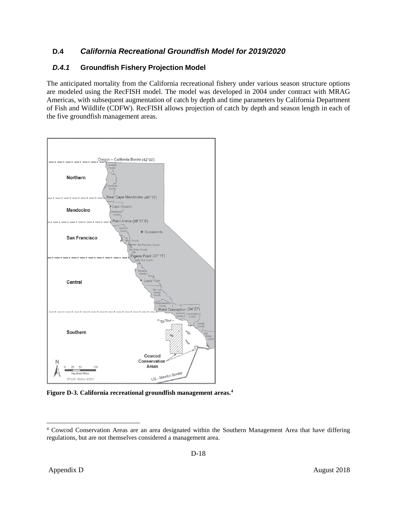# <span id="page-20-0"></span>**D.4** *California Recreational Groundfish Model for 2019/2020*

# <span id="page-20-1"></span>*D.4.1* **Groundfish Fishery Projection Model**

The anticipated mortality from the California recreational fishery under various season structure options are modeled using the RecFISH model. The model was developed in 2004 under contract with MRAG Americas, with subsequent augmentation of catch by depth and time parameters by California Department of Fish and Wildlife (CDFW). RecFISH allows projection of catch by depth and season length in each of the five groundfish management areas.



<span id="page-20-2"></span>**Figure D-3. California recreational groundfish management areas. [4](#page-20-3)**

<span id="page-20-3"></span> <sup>4</sup> Cowcod Conservation Areas are an area designated within the Southern Management Area that have differing regulations, but are not themselves considered a management area.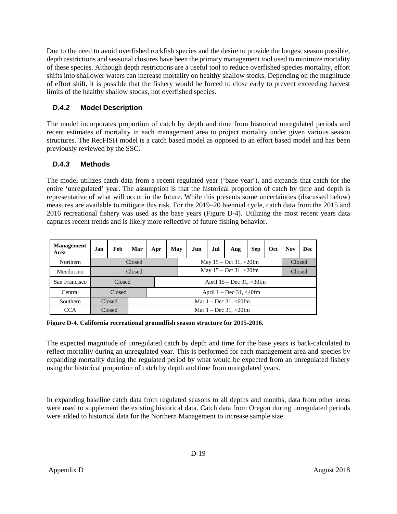Due to the need to avoid overfished rockfish species and the desire to provide the longest season possible, depth restrictions and seasonal closures have been the primary management tool used to minimize mortality of these species. Although depth restrictions are a useful tool to reduce overfished species mortality, effort shifts into shallower waters can increase mortality on healthy shallow stocks. Depending on the magnitude of effort shift, it is possible that the fishery would be forced to close early to prevent exceeding harvest limits of the healthy shallow stocks, not overfished species.

# <span id="page-21-0"></span>*D.4.2* **Model Description**

The model incorporates proportion of catch by depth and time from historical unregulated periods and recent estimates of mortality in each management area to project mortality under given various season structures. The RecFISH model is a catch based model as opposed to an effort based model and has been previously reviewed by the SSC.

# <span id="page-21-1"></span>*D.4.3* **Methods**

The model utilizes catch data from a recent regulated year ('base year'), and expands that catch for the entire 'unregulated' year. The assumption is that the historical proportion of catch by time and depth is representative of what will occur in the future. While this presents some uncertainties (discussed below) measures are available to mitigate this risk. For the 2019–20 biennial cycle, catch data from the 2015 and 2016 recreational fishery was used as the base years [\(Figure D-4\)](#page-21-2). Utilizing the most recent years data captures recent trends and is likely more reflective of future fishing behavior.

| <b>Management</b><br>Area | Jan    | Feb    | Mar    | Apr                       | May |                                      | Jun                        | Jul    | Aug | <b>Sep</b> | Oct | <b>Nov</b> | Dec |  |  |
|---------------------------|--------|--------|--------|---------------------------|-----|--------------------------------------|----------------------------|--------|-----|------------|-----|------------|-----|--|--|
| Northern                  |        |        | Closed |                           |     | Closed<br>May $15 - Oct 31, < 20$ fm |                            |        |     |            |     |            |     |  |  |
| Mendocino                 | Closed |        |        |                           |     |                                      | May $15 - Oct 31, < 20$ fm | Closed |     |            |     |            |     |  |  |
| San Francisco             |        | Closed |        |                           |     | April $15 - Dec 31, < 30$ fm         |                            |        |     |            |     |            |     |  |  |
| Central                   |        | Closed |        |                           |     | April $1 - Dec 31, <40$ fm           |                            |        |     |            |     |            |     |  |  |
| Southern                  |        | Closed |        | Mar $1 - Dec 31, < 60$ fm |     |                                      |                            |        |     |            |     |            |     |  |  |
| CCA                       |        | Closed |        | Mar $1 - Dec 31, < 20$ fm |     |                                      |                            |        |     |            |     |            |     |  |  |

<span id="page-21-2"></span>**Figure D-4. California recreational groundfish season structure for 2015-2016.**

The expected magnitude of unregulated catch by depth and time for the base years is back-calculated to reflect mortality during an unregulated year. This is performed for each management area and species by expanding mortality during the regulated period by what would be expected from an unregulated fishery using the historical proportion of catch by depth and time from unregulated years.

In expanding baseline catch data from regulated seasons to all depths and months, data from other areas were used to supplement the existing historical data. Catch data from Oregon during unregulated periods were added to historical data for the Northern Management to increase sample size.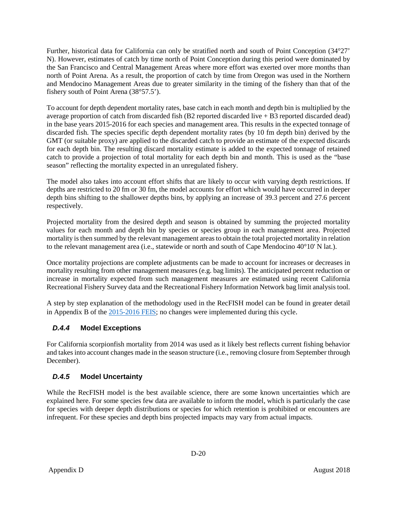Further, historical data for California can only be stratified north and south of Point Conception (34°27' N). However, estimates of catch by time north of Point Conception during this period were dominated by the San Francisco and Central Management Areas where more effort was exerted over more months than north of Point Arena. As a result, the proportion of catch by time from Oregon was used in the Northern and Mendocino Management Areas due to greater similarity in the timing of the fishery than that of the fishery south of Point Arena (38°57.5').

To account for depth dependent mortality rates, base catch in each month and depth bin is multiplied by the average proportion of catch from discarded fish (B2 reported discarded live + B3 reported discarded dead) in the base years 2015-2016 for each species and management area. This results in the expected tonnage of discarded fish. The species specific depth dependent mortality rates (by 10 fm depth bin) derived by the GMT (or suitable proxy) are applied to the discarded catch to provide an estimate of the expected discards for each depth bin. The resulting discard mortality estimate is added to the expected tonnage of retained catch to provide a projection of total mortality for each depth bin and month. This is used as the "base season" reflecting the mortality expected in an unregulated fishery.

The model also takes into account effort shifts that are likely to occur with varying depth restrictions. If depths are restricted to 20 fm or 30 fm, the model accounts for effort which would have occurred in deeper depth bins shifting to the shallower depths bins, by applying an increase of 39.3 percent and 27.6 percent respectively.

Projected mortality from the desired depth and season is obtained by summing the projected mortality values for each month and depth bin by species or species group in each management area. Projected mortality is then summed by the relevant management areas to obtain the total projected mortality in relation to the relevant management area (i.e., statewide or north and south of Cape Mendocino 40°10' N lat.).

Once mortality projections are complete adjustments can be made to account for increases or decreases in mortality resulting from other management measures (e.g. bag limits). The anticipated percent reduction or increase in mortality expected from such management measures are estimated using recent California Recreational Fishery Survey data and the Recreational Fishery Information Network bag limit analysis tool.

A step by step explanation of the methodology used in the RecFISH model can be found in greater detail in Appendix B of the [2015-2016 FEIS;](http://www.pcouncil.org/wp-content/uploads/GF15_16_SpexFEISJanuary2015.pdf) no changes were implemented during this cycle.

# <span id="page-22-0"></span>*D.4.4* **Model Exceptions**

For California scorpionfish mortality from 2014 was used as it likely best reflects current fishing behavior and takes into account changes made in the season structure (i.e., removing closure from September through December).

# <span id="page-22-1"></span>*D.4.5* **Model Uncertainty**

While the RecFISH model is the best available science, there are some known uncertainties which are explained here. For some species few data are available to inform the model, which is particularly the case for species with deeper depth distributions or species for which retention is prohibited or encounters are infrequent. For these species and depth bins projected impacts may vary from actual impacts.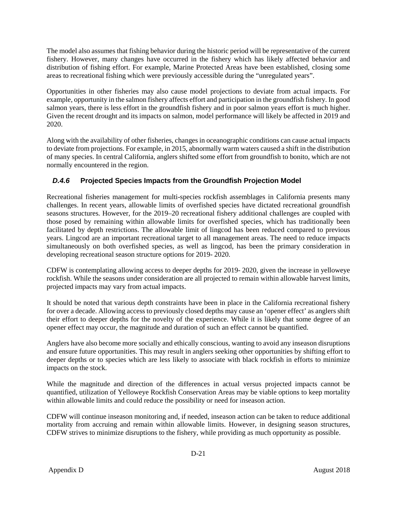The model also assumes that fishing behavior during the historic period will be representative of the current fishery. However, many changes have occurred in the fishery which has likely affected behavior and distribution of fishing effort. For example, Marine Protected Areas have been established, closing some areas to recreational fishing which were previously accessible during the "unregulated years".

Opportunities in other fisheries may also cause model projections to deviate from actual impacts. For example, opportunity in the salmon fishery affects effort and participation in the groundfish fishery. In good salmon years, there is less effort in the groundfish fishery and in poor salmon years effort is much higher. Given the recent drought and its impacts on salmon, model performance will likely be affected in 2019 and 2020.

Along with the availability of other fisheries, changes in oceanographic conditions can cause actual impacts to deviate from projections. For example, in 2015, abnormally warm waters caused a shift in the distribution of many species. In central California, anglers shifted some effort from groundfish to bonito, which are not normally encountered in the region.

# <span id="page-23-0"></span>*D.4.6* **Projected Species Impacts from the Groundfish Projection Model**

Recreational fisheries management for multi-species rockfish assemblages in California presents many challenges. In recent years, allowable limits of overfished species have dictated recreational groundfish seasons structures. However, for the 2019–20 recreational fishery additional challenges are coupled with those posed by remaining within allowable limits for overfished species, which has traditionally been facilitated by depth restrictions. The allowable limit of lingcod has been reduced compared to previous years. Lingcod are an important recreational target to all management areas. The need to reduce impacts simultaneously on both overfished species, as well as lingcod, has been the primary consideration in developing recreational season structure options for 2019- 2020.

CDFW is contemplating allowing access to deeper depths for 2019- 2020, given the increase in yelloweye rockfish. While the seasons under consideration are all projected to remain within allowable harvest limits, projected impacts may vary from actual impacts.

It should be noted that various depth constraints have been in place in the California recreational fishery for over a decade. Allowing access to previously closed depths may cause an 'opener effect' as anglers shift their effort to deeper depths for the novelty of the experience. While it is likely that some degree of an opener effect may occur, the magnitude and duration of such an effect cannot be quantified.

Anglers have also become more socially and ethically conscious, wanting to avoid any inseason disruptions and ensure future opportunities. This may result in anglers seeking other opportunities by shifting effort to deeper depths or to species which are less likely to associate with black rockfish in efforts to minimize impacts on the stock.

While the magnitude and direction of the differences in actual versus projected impacts cannot be quantified, utilization of Yelloweye Rockfish Conservation Areas may be viable options to keep mortality within allowable limits and could reduce the possibility or need for inseason action.

CDFW will continue inseason monitoring and, if needed, inseason action can be taken to reduce additional mortality from accruing and remain within allowable limits. However, in designing season structures, CDFW strives to minimize disruptions to the fishery, while providing as much opportunity as possible.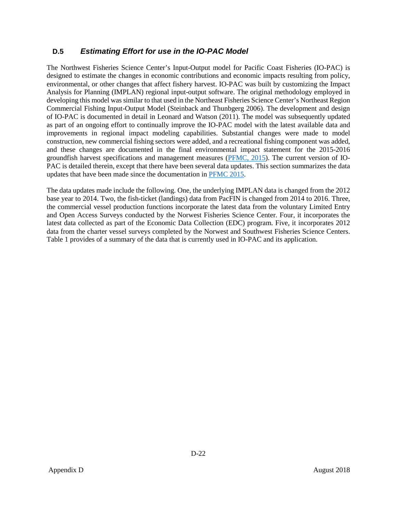# <span id="page-24-0"></span>**D.5** *Estimating Effort for use in the IO-PAC Model*

The Northwest Fisheries Science Center's Input-Output model for Pacific Coast Fisheries (IO-PAC) is designed to estimate the changes in economic contributions and economic impacts resulting from policy, environmental, or other changes that affect fishery harvest. IO-PAC was built by customizing the Impact Analysis for Planning (IMPLAN) regional input-output software. The original methodology employed in developing this model was similar to that used in the Northeast Fisheries Science Center's Northeast Region Commercial Fishing Input-Output Model (Steinback and Thunbgerg 2006). The development and design of IO-PAC is documented in detail in Leonard and Watson (2011). The model was subsequently updated as part of an ongoing effort to continually improve the IO-PAC model with the latest available data and improvements in regional impact modeling capabilities. Substantial changes were made to model construction, new commercial fishing sectors were added, and a recreational fishing component was added, and these changes are documented in the final environmental impact statement for the 2015-2016 groundfish harvest specifications and management measures [\(PFMC, 2015\)](http://www.pcouncil.org/wp-content/uploads/GF15_16_SpexFEISJanuary2015.pdf). The current version of IO-PAC is detailed therein, except that there have been several data updates. This section summarizes the data updates that have been made since the documentation in [PFMC 2015.](http://www.pcouncil.org/wp-content/uploads/GF15_16_SpexFEISJanuary2015.pdf)

The data updates made include the following. One, the underlying IMPLAN data is changed from the 2012 base year to 2014. Two, the fish-ticket (landings) data from PacFIN is changed from 2014 to 2016. Three, the commercial vessel production functions incorporate the latest data from the voluntary Limited Entry and Open Access Surveys conducted by the Norwest Fisheries Science Center. Four, it incorporates the latest data collected as part of the Economic Data Collection (EDC) program. Five, it incorporates 2012 data from the charter vessel surveys completed by the Norwest and Southwest Fisheries Science Centers. Table 1 provides of a summary of the data that is currently used in IO-PAC and its application.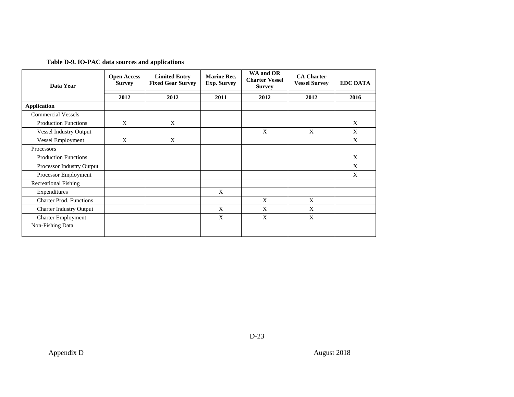| Table D-9. IO-PAC data sources and applications |  |  |  |  |  |  |
|-------------------------------------------------|--|--|--|--|--|--|
|-------------------------------------------------|--|--|--|--|--|--|

<span id="page-25-0"></span>

| Data Year                      | <b>Open Access</b><br><b>Survey</b> | <b>Limited Entry</b><br><b>Fixed Gear Survey</b> | <b>Marine Rec.</b><br><b>Exp. Survey</b> | WA and OR<br><b>Charter Vessel</b><br><b>Survey</b> | <b>CA Charter</b><br><b>Vessel Survey</b> | <b>EDC DATA</b> |
|--------------------------------|-------------------------------------|--------------------------------------------------|------------------------------------------|-----------------------------------------------------|-------------------------------------------|-----------------|
|                                | 2012                                | 2012                                             | 2011                                     | 2012                                                | 2012                                      | 2016            |
| <b>Application</b>             |                                     |                                                  |                                          |                                                     |                                           |                 |
| <b>Commercial Vessels</b>      |                                     |                                                  |                                          |                                                     |                                           |                 |
| <b>Production Functions</b>    | X                                   | X                                                |                                          |                                                     |                                           | X               |
| <b>Vessel Industry Output</b>  |                                     |                                                  |                                          | X                                                   | X                                         | X               |
| Vessel Employment              | X                                   | X                                                |                                          |                                                     |                                           | X               |
| Processors                     |                                     |                                                  |                                          |                                                     |                                           |                 |
| <b>Production Functions</b>    |                                     |                                                  |                                          |                                                     |                                           | X               |
| Processor Industry Output      |                                     |                                                  |                                          |                                                     |                                           | X               |
| Processor Employment           |                                     |                                                  |                                          |                                                     |                                           | X               |
| <b>Recreational Fishing</b>    |                                     |                                                  |                                          |                                                     |                                           |                 |
| Expenditures                   |                                     |                                                  | X                                        |                                                     |                                           |                 |
| Charter Prod. Functions        |                                     |                                                  |                                          | X                                                   | X                                         |                 |
| <b>Charter Industry Output</b> |                                     |                                                  | X                                        | X                                                   | X                                         |                 |
| <b>Charter Employment</b>      |                                     |                                                  | X                                        | X                                                   | X                                         |                 |
| Non-Fishing Data               |                                     |                                                  |                                          |                                                     |                                           |                 |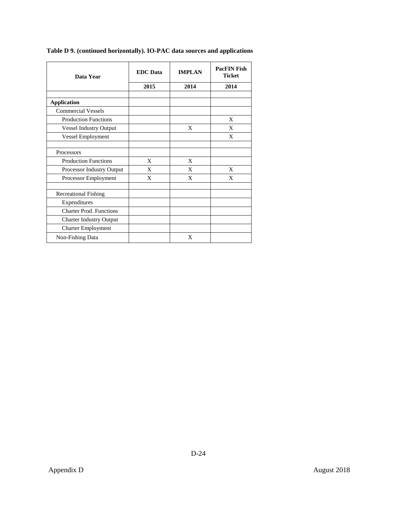| Data Year                      | <b>EDC</b> Data | <b>IMPLAN</b> | <b>PacFIN Fish</b><br><b>Ticket</b> |  |
|--------------------------------|-----------------|---------------|-------------------------------------|--|
|                                | 2015            | 2014          | 2014                                |  |
|                                |                 |               |                                     |  |
| <b>Application</b>             |                 |               |                                     |  |
| <b>Commercial Vessels</b>      |                 |               |                                     |  |
| <b>Production Functions</b>    |                 |               | X                                   |  |
| <b>Vessel Industry Output</b>  |                 | X             | X                                   |  |
| Vessel Employment              |                 |               | X                                   |  |
|                                |                 |               |                                     |  |
| Processors                     |                 |               |                                     |  |
| <b>Production Functions</b>    | X               | X             |                                     |  |
| Processor Industry Output      | X               | X             | X                                   |  |
| Processor Employment           | X               | X             | X                                   |  |
| <b>Recreational Fishing</b>    |                 |               |                                     |  |
| Expenditures                   |                 |               |                                     |  |
| <b>Charter Prod. Functions</b> |                 |               |                                     |  |
| <b>Charter Industry Output</b> |                 |               |                                     |  |
| <b>Charter Employment</b>      |                 |               |                                     |  |
| Non-Fishing Data               |                 | X             |                                     |  |

## **Table D 9. (continued horizontally). IO-PAC data sources and applications**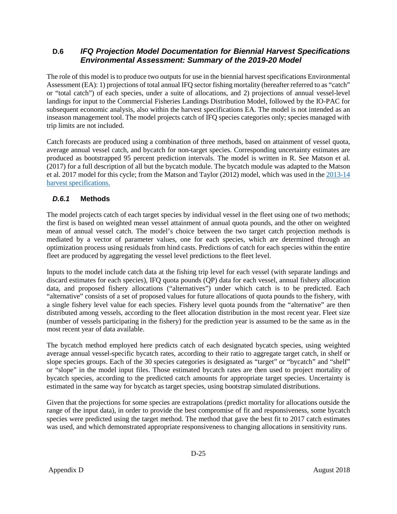# <span id="page-27-0"></span>**D.6** *IFQ Projection Model Documentation for Biennial Harvest Specifications Environmental Assessment: Summary of the 2019-20 Model*

The role of this model is to produce two outputs for use in the biennial harvest specifications Environmental Assessment (EA): 1) projections of total annual IFQ sector fishing mortality (hereafter referred to as "catch" or "total catch") of each species, under a suite of allocations, and 2) projections of annual vessel-level landings for input to the Commercial Fisheries Landings Distribution Model, followed by the IO-PAC for subsequent economic analysis, also within the harvest specifications EA. The model is not intended as an inseason management tool. The model projects catch of IFQ species categories only; species managed with trip limits are not included.

Catch forecasts are produced using a combination of three methods, based on attainment of vessel quota, average annual vessel catch, and bycatch for non-target species. Corresponding uncertainty estimates are produced as bootstrapped 95 percent prediction intervals. The model is written in R. See Matson et al. (2017) for a full description of all but the bycatch module. The bycatch module was adapted to the Matson et al. 2017 model for this cycle; from the Matson and Taylor (2012) model, which was used in the [2013-14](https://www.pcouncil.org/wp-content/uploads/September_2012_AppendixA_13-14_FEIS_SPEX.pdf)  [harvest specifications.](https://www.pcouncil.org/wp-content/uploads/September_2012_AppendixA_13-14_FEIS_SPEX.pdf)

# <span id="page-27-1"></span>*D.6.1* **Methods**

The model projects catch of each target species by individual vessel in the fleet using one of two methods; the first is based on weighted mean vessel attainment of annual quota pounds, and the other on weighted mean of annual vessel catch. The model's choice between the two target catch projection methods is mediated by a vector of parameter values, one for each species, which are determined through an optimization process using residuals from hind casts. Predictions of catch for each species within the entire fleet are produced by aggregating the vessel level predictions to the fleet level.

Inputs to the model include catch data at the fishing trip level for each vessel (with separate landings and discard estimates for each species), IFQ quota pounds (QP) data for each vessel, annual fishery allocation data, and proposed fishery allocations ("alternatives") under which catch is to be predicted. Each "alternative" consists of a set of proposed values for future allocations of quota pounds to the fishery, with a single fishery level value for each species. Fishery level quota pounds from the "alternative" are then distributed among vessels, according to the fleet allocation distribution in the most recent year. Fleet size (number of vessels participating in the fishery) for the prediction year is assumed to be the same as in the most recent year of data available.

The bycatch method employed here predicts catch of each designated bycatch species, using weighted average annual vessel-specific bycatch rates, according to their ratio to aggregate target catch, in shelf or slope species groups. Each of the 30 species categories is designated as "target" or "bycatch" and "shelf" or "slope" in the model input files. Those estimated bycatch rates are then used to project mortality of bycatch species, according to the predicted catch amounts for appropriate target species. Uncertainty is estimated in the same way for bycatch as target species, using bootstrap simulated distributions.

Given that the projections for some species are extrapolations (predict mortality for allocations outside the range of the input data), in order to provide the best compromise of fit and responsiveness, some bycatch species were predicted using the target method. The method that gave the best fit to 2017 catch estimates was used, and which demonstrated appropriate responsiveness to changing allocations in sensitivity runs.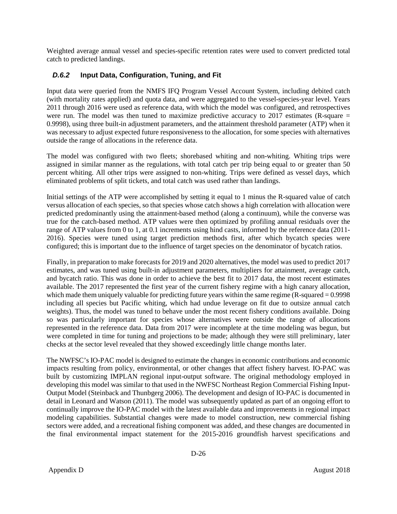Weighted average annual vessel and species-specific retention rates were used to convert predicted total catch to predicted landings.

# <span id="page-28-0"></span>*D.6.2* **Input Data, Configuration, Tuning, and Fit**

Input data were queried from the NMFS IFQ Program Vessel Account System, including debited catch (with mortality rates applied) and quota data, and were aggregated to the vessel-species-year level. Years 2011 through 2016 were used as reference data, with which the model was configured, and retrospectives were run. The model was then tuned to maximize predictive accuracy to 2017 estimates (R-square = 0.9998), using three built-in adjustment parameters, and the attainment threshold parameter (ATP) when it was necessary to adjust expected future responsiveness to the allocation, for some species with alternatives outside the range of allocations in the reference data.

The model was configured with two fleets; shorebased whiting and non-whiting. Whiting trips were assigned in similar manner as the regulations, with total catch per trip being equal to or greater than 50 percent whiting. All other trips were assigned to non-whiting. Trips were defined as vessel days, which eliminated problems of split tickets, and total catch was used rather than landings.

Initial settings of the ATP were accomplished by setting it equal to 1 minus the R-squared value of catch versus allocation of each species, so that species whose catch shows a high correlation with allocation were predicted predominantly using the attainment-based method (along a continuum), while the converse was true for the catch-based method. ATP values were then optimized by profiling annual residuals over the range of ATP values from 0 to 1, at 0.1 increments using hind casts, informed by the reference data (2011- 2016). Species were tuned using target prediction methods first, after which bycatch species were configured; this is important due to the influence of target species on the denominator of bycatch ratios.

Finally, in preparation to make forecasts for 2019 and 2020 alternatives, the model was used to predict 2017 estimates, and was tuned using built-in adjustment parameters, multipliers for attainment, average catch, and bycatch ratio. This was done in order to achieve the best fit to 2017 data, the most recent estimates available. The 2017 represented the first year of the current fishery regime with a high canary allocation, which made them uniquely valuable for predicting future years within the same regime (R-squared = 0.9998) including all species but Pacific whiting, which had undue leverage on fit due to outsize annual catch weights). Thus, the model was tuned to behave under the most recent fishery conditions available. Doing so was particularly important for species whose alternatives were outside the range of allocations represented in the reference data. Data from 2017 were incomplete at the time modeling was begun, but were completed in time for tuning and projections to be made; although they were still preliminary, later checks at the sector level revealed that they showed exceedingly little change months later.

The NWFSC's IO-PAC model is designed to estimate the changes in economic contributions and economic impacts resulting from policy, environmental, or other changes that affect fishery harvest. IO-PAC was built by customizing IMPLAN regional input-output software. The original methodology employed in developing this model was similar to that used in the NWFSC Northeast Region Commercial Fishing Input-Output Model (Steinback and Thunbgerg 2006). The development and design of IO-PAC is documented in detail in Leonard and Watson (2011). The model was subsequently updated as part of an ongoing effort to continually improve the IO-PAC model with the latest available data and improvements in regional impact modeling capabilities. Substantial changes were made to model construction, new commercial fishing sectors were added, and a recreational fishing component was added, and these changes are documented in the final environmental impact statement for the 2015-2016 groundfish harvest specifications and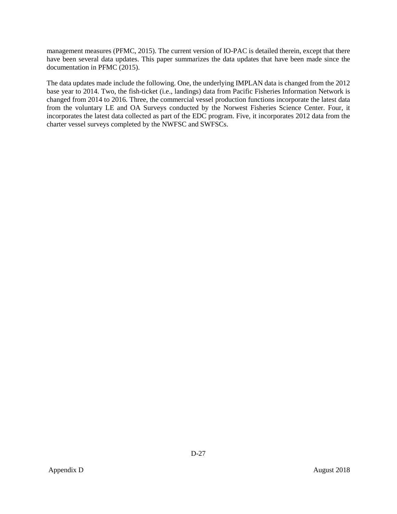management measures (PFMC, 2015). The current version of IO-PAC is detailed therein, except that there have been several data updates. This paper summarizes the data updates that have been made since the documentation in PFMC (2015).

The data updates made include the following. One, the underlying IMPLAN data is changed from the 2012 base year to 2014. Two, the fish-ticket (i.e., landings) data from Pacific Fisheries Information Network is changed from 2014 to 2016. Three, the commercial vessel production functions incorporate the latest data from the voluntary LE and OA Surveys conducted by the Norwest Fisheries Science Center. Four, it incorporates the latest data collected as part of the EDC program. Five, it incorporates 2012 data from the charter vessel surveys completed by the NWFSC and SWFSCs.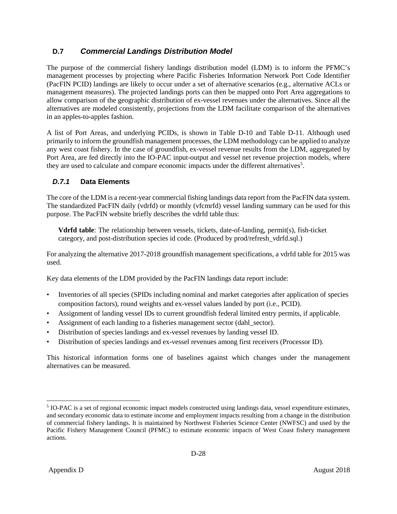# <span id="page-30-0"></span>**D.7** *Commercial Landings Distribution Model*

The purpose of the commercial fishery landings distribution model (LDM) is to inform the PFMC's management processes by projecting where Pacific Fisheries Information Network Port Code Identifier (PacFIN PCID) landings are likely to occur under a set of alternative scenarios (e.g., alternative ACLs or management measures). The projected landings ports can then be mapped onto Port Area aggregations to allow comparison of the geographic distribution of ex-vessel revenues under the alternatives. Since all the alternatives are modeled consistently, projections from the LDM facilitate comparison of the alternatives in an apples-to-apples fashion.

A list of Port Areas, and underlying PCIDs, is shown in [Table D-10](#page-35-0) and [Table D-11.](#page-36-0) Although used primarily to inform the groundfish management processes, the LDM methodology can be applied to analyze any west coast fishery. In the case of groundfish, ex-vessel revenue results from the LDM, aggregated by Port Area, are fed directly into the IO-PAC input-output and vessel net revenue projection models, where they are used to calculate and compare economic impacts under the different alternatives<sup>[5](#page-30-2)</sup>.

# <span id="page-30-1"></span>*D.7.1* **Data Elements**

The core of the LDM is a recent-year commercial fishing landings data report from the PacFIN data system. The standardized PacFIN daily (vdrfd) or monthly (vfcmrfd) vessel landing summary can be used for this purpose. The PacFIN website briefly describes the vdrfd table thus:

**Vdrfd table**: The relationship between vessels, tickets, date-of-landing, permit(s), fish-ticket category, and post-distribution species id code. (Produced by prod/refresh\_vdrfd.sql.)

For analyzing the alternative 2017-2018 groundfish management specifications, a vdrfd table for 2015 was used.

Key data elements of the LDM provided by the PacFIN landings data report include:

- Inventories of all species (SPIDs including nominal and market categories after application of species composition factors), round weights and ex-vessel values landed by port (i.e., PCID).
- Assignment of landing vessel IDs to current groundfish federal limited entry permits, if applicable.
- Assignment of each landing to a fisheries management sector (dahl sector).
- Distribution of species landings and ex-vessel revenues by landing vessel ID.
- Distribution of species landings and ex-vessel revenues among first receivers (Processor ID).

This historical information forms one of baselines against which changes under the management alternatives can be measured.

<span id="page-30-2"></span> <sup>5</sup> IO-PAC is a set of regional economic impact models constructed using landings data, vessel expenditure estimates, and secondary economic data to estimate income and employment impacts resulting from a change in the distribution of commercial fishery landings. It is maintained by Northwest Fisheries Science Center (NWFSC) and used by the Pacific Fishery Management Council (PFMC) to estimate economic impacts of West Coast fishery management actions.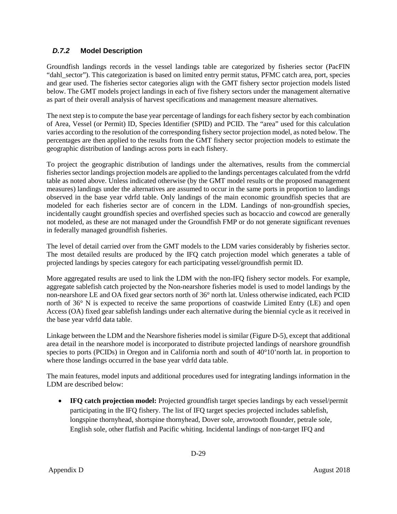# <span id="page-31-0"></span>*D.7.2* **Model Description**

Groundfish landings records in the vessel landings table are categorized by fisheries sector (PacFIN "dahl\_sector"). This categorization is based on limited entry permit status, PFMC catch area, port, species and gear used. The fisheries sector categories align with the GMT fishery sector projection models listed below. The GMT models project landings in each of five fishery sectors under the management alternative as part of their overall analysis of harvest specifications and management measure alternatives.

The next step is to compute the base year percentage of landings for each fishery sector by each combination of Area, Vessel (or Permit) ID, Species Identifier (SPID) and PCID. The "area" used for this calculation varies according to the resolution of the corresponding fishery sector projection model, as noted below. The percentages are then applied to the results from the GMT fishery sector projection models to estimate the geographic distribution of landings across ports in each fishery.

To project the geographic distribution of landings under the alternatives, results from the commercial fisheries sector landings projection models are applied to the landings percentages calculated from the vdrfd table as noted above. Unless indicated otherwise (by the GMT model results or the proposed management measures) landings under the alternatives are assumed to occur in the same ports in proportion to landings observed in the base year vdrfd table. Only landings of the main economic groundfish species that are modeled for each fisheries sector are of concern in the LDM. Landings of non-groundfish species, incidentally caught groundfish species and overfished species such as bocaccio and cowcod are generally not modeled, as these are not managed under the Groundfish FMP or do not generate significant revenues in federally managed groundfish fisheries.

The level of detail carried over from the GMT models to the LDM varies considerably by fisheries sector. The most detailed results are produced by the IFQ catch projection model which generates a table of projected landings by species category for each participating vessel/groundfish permit ID.

More aggregated results are used to link the LDM with the non-IFQ fishery sector models. For example, aggregate sablefish catch projected by the Non-nearshore fisheries model is used to model landings by the non-nearshore LE and OA fixed gear sectors north of 36° north lat. Unless otherwise indicated, each PCID north of 36° N is expected to receive the same proportions of coastwide Limited Entry (LE) and open Access (OA) fixed gear sablefish landings under each alternative during the biennial cycle as it received in the base year vdrfd data table.

Linkage between the LDM and the Nearshore fisheries model is similar [\(Figure D-5\)](#page-37-0), except that additional area detail in the nearshore model is incorporated to distribute projected landings of nearshore groundfish species to ports (PCIDs) in Oregon and in California north and south of 40°10' north lat. in proportion to where those landings occurred in the base year vdrfd data table.

The main features, model inputs and additional procedures used for integrating landings information in the LDM are described below:

• **IFQ catch projection model:** Projected groundfish target species landings by each vessel/permit participating in the IFQ fishery. The list of IFQ target species projected includes sablefish, longspine thornyhead, shortspine thornyhead, Dover sole, arrowtooth flounder, petrale sole, English sole, other flatfish and Pacific whiting. Incidental landings of non-target IFQ and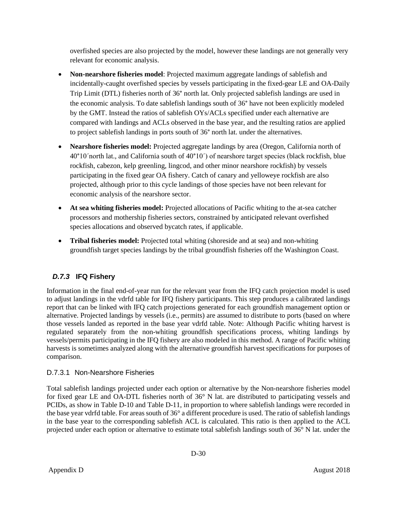overfished species are also projected by the model, however these landings are not generally very relevant for economic analysis.

- **Non-nearshore fisheries model**: Projected maximum aggregate landings of sablefish and incidentally-caught overfished species by vessels participating in the fixed-gear LE and OA-Daily Trip Limit (DTL) fisheries north of 36° north lat. Only projected sablefish landings are used in the economic analysis. To date sablefish landings south of 36° have not been explicitly modeled by the GMT. Instead the ratios of sablefish OYs/ACLs specified under each alternative are compared with landings and ACLs observed in the base year, and the resulting ratios are applied to project sablefish landings in ports south of 36° north lat. under the alternatives.
- **Nearshore fisheries model:** Projected aggregate landings by area (Oregon, California north of 40°10ˊnorth lat., and California south of 40°10ˊ) of nearshore target species (black rockfish, blue rockfish, cabezon, kelp greenling, lingcod, and other minor nearshore rockfish) by vessels participating in the fixed gear OA fishery. Catch of canary and yelloweye rockfish are also projected, although prior to this cycle landings of those species have not been relevant for economic analysis of the nearshore sector.
- **At sea whiting fisheries model:** Projected allocations of Pacific whiting to the at-sea catcher processors and mothership fisheries sectors, constrained by anticipated relevant overfished species allocations and observed bycatch rates, if applicable.
- **Tribal fisheries model:** Projected total whiting (shoreside and at sea) and non-whiting groundfish target species landings by the tribal groundfish fisheries off the Washington Coast.

# <span id="page-32-0"></span>*D.7.3* **IFQ Fishery**

Information in the final end-of-year run for the relevant year from the IFQ catch projection model is used to adjust landings in the vdrfd table for IFQ fishery participants. This step produces a calibrated landings report that can be linked with IFQ catch projections generated for each groundfish management option or alternative. Projected landings by vessels (i.e., permits) are assumed to distribute to ports (based on where those vessels landed as reported in the base year vdrfd table. Note: Although Pacific whiting harvest is regulated separately from the non-whiting groundfish specifications process, whiting landings by vessels/permits participating in the IFQ fishery are also modeled in this method. A range of Pacific whiting harvests is sometimes analyzed along with the alternative groundfish harvest specifications for purposes of comparison.

# D.7.3.1 Non-Nearshore Fisheries

Total sablefish landings projected under each option or alternative by the Non-nearshore fisheries model for fixed gear LE and OA-DTL fisheries north of 36° N lat. are distributed to participating vessels and PCIDs, as show in [Table D-10](#page-35-0) and [Table D-11,](#page-36-0) in proportion to where sablefish landings were recorded in the base year vdrfd table. For areas south of 36° a different procedure is used. The ratio of sablefish landings in the base year to the corresponding sablefish ACL is calculated. This ratio is then applied to the ACL projected under each option or alternative to estimate total sablefish landings south of 36° N lat. under the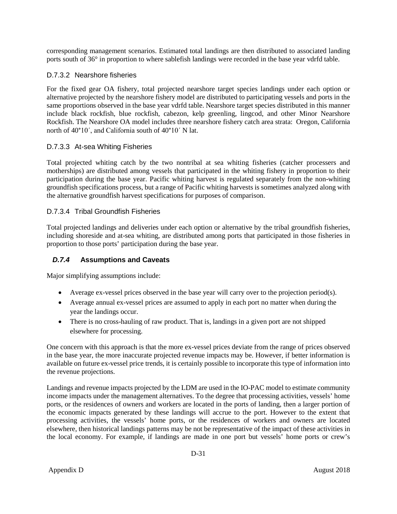corresponding management scenarios. Estimated total landings are then distributed to associated landing ports south of 36° in proportion to where sablefish landings were recorded in the base year vdrfd table.

## D.7.3.2 Nearshore fisheries

For the fixed gear OA fishery, total projected nearshore target species landings under each option or alternative projected by the nearshore fishery model are distributed to participating vessels and ports in the same proportions observed in the base year vdrfd table. Nearshore target species distributed in this manner include black rockfish, blue rockfish, cabezon, kelp greenling, lingcod, and other Minor Nearshore Rockfish. The Nearshore OA model includes three nearshore fishery catch area strata: Oregon, California north of 40°10ˊ, and California south of 40°10ˊ N lat.

## D.7.3.3 At-sea Whiting Fisheries

Total projected whiting catch by the two nontribal at sea whiting fisheries (catcher processers and motherships) are distributed among vessels that participated in the whiting fishery in proportion to their participation during the base year. Pacific whiting harvest is regulated separately from the non-whiting groundfish specifications process, but a range of Pacific whiting harvests is sometimes analyzed along with the alternative groundfish harvest specifications for purposes of comparison.

#### D.7.3.4 Tribal Groundfish Fisheries

Total projected landings and deliveries under each option or alternative by the tribal groundfish fisheries, including shoreside and at-sea whiting, are distributed among ports that participated in those fisheries in proportion to those ports' participation during the base year.

#### <span id="page-33-0"></span>*D.7.4* **Assumptions and Caveats**

Major simplifying assumptions include:

- Average ex-vessel prices observed in the base year will carry over to the projection period(s).
- Average annual ex-vessel prices are assumed to apply in each port no matter when during the year the landings occur.
- There is no cross-hauling of raw product. That is, landings in a given port are not shipped elsewhere for processing.

One concern with this approach is that the more ex-vessel prices deviate from the range of prices observed in the base year, the more inaccurate projected revenue impacts may be. However, if better information is available on future ex-vessel price trends, it is certainly possible to incorporate this type of information into the revenue projections.

Landings and revenue impacts projected by the LDM are used in the IO-PAC model to estimate community income impacts under the management alternatives. To the degree that processing activities, vessels' home ports, or the residences of owners and workers are located in the ports of landing, then a larger portion of the economic impacts generated by these landings will accrue to the port. However to the extent that processing activities, the vessels' home ports, or the residences of workers and owners are located elsewhere, then historical landings patterns may be not be representative of the impact of these activities in the local economy. For example, if landings are made in one port but vessels' home ports or crew's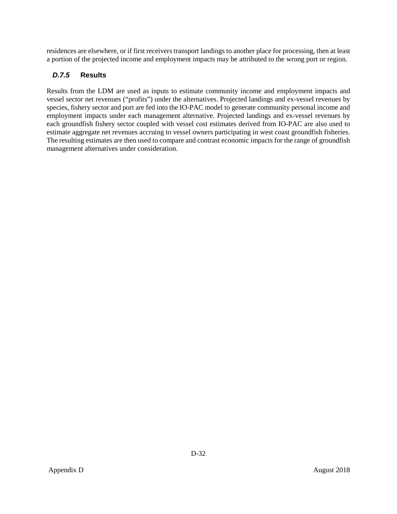residences are elsewhere, or if first receivers transport landings to another place for processing, then at least a portion of the projected income and employment impacts may be attributed to the wrong port or region.

# <span id="page-34-0"></span>*D.7.5* **Results**

Results from the LDM are used as inputs to estimate community income and employment impacts and vessel sector net revenues ("profits") under the alternatives. Projected landings and ex-vessel revenues by species, fishery sector and port are fed into the IO-PAC model to generate community personal income and employment impacts under each management alternative. Projected landings and ex-vessel revenues by each groundfish fishery sector coupled with vessel cost estimates derived from IO-PAC are also used to estimate aggregate net revenues accruing to vessel owners participating in west coast groundfish fisheries. The resulting estimates are then used to compare and contrast economic impacts for the range of groundfish management alternatives under consideration.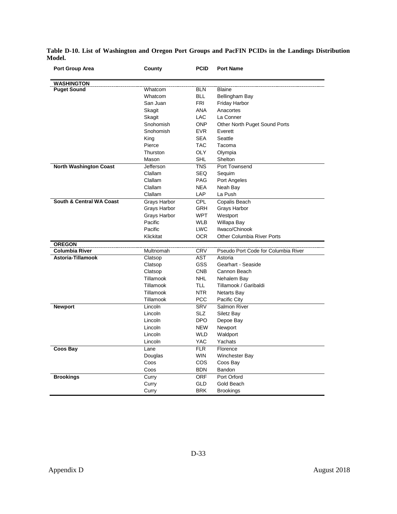| Port Group Area                     | County       | <b>PCID</b> | <b>Port Name</b>                    |
|-------------------------------------|--------------|-------------|-------------------------------------|
| WASHINGTON                          |              |             |                                     |
| <b>Puget Sound</b>                  | Whatcom      | <b>BLN</b>  | <b>Blaine</b>                       |
|                                     | Whatcom      | <b>BLL</b>  | Bellingham Bay                      |
|                                     | San Juan     | <b>FRI</b>  | Friday Harbor                       |
|                                     | Skagit       | ANA         | Anacortes                           |
|                                     | Skagit       | <b>LAC</b>  | La Conner                           |
|                                     | Snohomish    | <b>ONP</b>  | Other North Puget Sound Ports       |
|                                     | Snohomish    | <b>EVR</b>  | Everett                             |
|                                     | King         | <b>SEA</b>  | Seattle                             |
|                                     | Pierce       | <b>TAC</b>  | Tacoma                              |
|                                     | Thurston     | <b>OLY</b>  | Olympia                             |
|                                     | Mason        | <b>SHL</b>  | Shelton                             |
| <b>North Washington Coast</b>       | Jefferson    | <b>TNS</b>  | Port Townsend                       |
|                                     | Clallam      | <b>SEQ</b>  | Sequim                              |
|                                     | Clallam      | <b>PAG</b>  | Port Angeles                        |
|                                     | Clallam      | <b>NEA</b>  | Neah Bay                            |
|                                     | Clallam      | <b>LAP</b>  | La Push                             |
| <b>South &amp; Central WA Coast</b> | Grays Harbor | <b>CPL</b>  | Copalis Beach                       |
|                                     | Grays Harbor | <b>GRH</b>  | Grays Harbor                        |
|                                     | Grays Harbor | <b>WPT</b>  | Westport                            |
|                                     | Pacific      | <b>WLB</b>  | Willapa Bay                         |
|                                     | Pacific      | <b>LWC</b>  | Ilwaco/Chinook                      |
|                                     | Klickitat    | <b>OCR</b>  | <b>Other Columbia River Ports</b>   |
| <b>OREGON</b>                       |              |             |                                     |
| Columbia River                      | Multnomah    | <b>CRV</b>  | Pseudo Port Code for Columbia River |
| Astoria-Tillamook                   | Clatsop      | <b>AST</b>  | Astoria                             |
|                                     | Clatsop      | <b>GSS</b>  | Gearhart - Seaside                  |
|                                     | Clatsop      | <b>CNB</b>  | Cannon Beach                        |
|                                     | Tillamook    | <b>NHL</b>  | Nehalem Bay                         |
|                                     | Tillamook    | <b>TLL</b>  | Tillamook / Garibaldi               |
|                                     | Tillamook    | <b>NTR</b>  | <b>Netarts Bay</b>                  |
|                                     | Tillamook    | <b>PCC</b>  | Pacific City                        |
| <b>Newport</b>                      | Lincoln      | <b>SRV</b>  | Salmon River                        |
|                                     | Lincoln      | <b>SLZ</b>  | Siletz Bay                          |
|                                     | Lincoln      | <b>DPO</b>  | Depoe Bay                           |
|                                     | Lincoln      | <b>NEW</b>  | Newport                             |
|                                     | Lincoln      | <b>WLD</b>  | Waldport                            |
|                                     | Lincoln      | <b>YAC</b>  | Yachats                             |
| <b>Coos Bay</b>                     | Lane         | <b>FLR</b>  | Florence                            |
|                                     | Douglas      | <b>WIN</b>  | Winchester Bay                      |
|                                     | Coos         | <b>COS</b>  | Coos Bay                            |
|                                     | Coos         | <b>BDN</b>  | Bandon                              |
| <b>Brookings</b>                    | Curry        | <b>ORF</b>  | Port Orford                         |
|                                     | Curry        | <b>GLD</b>  | Gold Beach                          |
|                                     | Curry        | <b>BRK</b>  | <b>Brookings</b>                    |

<span id="page-35-0"></span>**Table D-10. List of Washington and Oregon Port Groups and PacFIN PCIDs in the Landings Distribution Model.**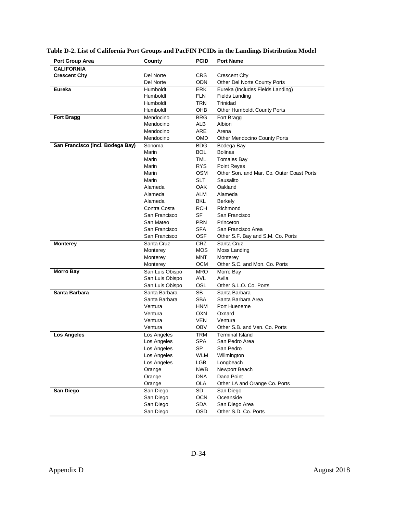| Port Group Area                  | County          | <b>PCID</b> | <b>Port Name</b>                          |
|----------------------------------|-----------------|-------------|-------------------------------------------|
| <b>CALIFORNIA</b>                |                 |             |                                           |
| <b>Crescent City</b>             | Del Norte       | <b>CRS</b>  | <b>Crescent City</b>                      |
|                                  | Del Norte       | ODN         | Other Del Norte County Ports              |
| <b>Eureka</b>                    | Humboldt        | <b>ERK</b>  | Eureka (Includes Fields Landing)          |
|                                  | Humboldt        | <b>FLN</b>  | Fields Landing                            |
|                                  | Humboldt        | TRN         | Trinidad                                  |
|                                  | Humboldt        | OHB         | Other Humboldt County Ports               |
| <b>Fort Bragg</b>                | Mendocino       | <b>BRG</b>  | Fort Bragg                                |
|                                  | Mendocino       | ALB         | Albion                                    |
|                                  | Mendocino       | ARE         | Arena                                     |
|                                  | Mendocino       | <b>OMD</b>  | <b>Other Mendocino County Ports</b>       |
| San Francisco (incl. Bodega Bay) | Sonoma          | <b>BDG</b>  | Bodega Bay                                |
|                                  | Marin           | <b>BOL</b>  | <b>Bolinas</b>                            |
|                                  | Marin           | TML         | <b>Tomales Bay</b>                        |
|                                  | Marin           | <b>RYS</b>  | Point Reyes                               |
|                                  | Marin           | <b>OSM</b>  | Other Son, and Mar. Co. Outer Coast Ports |
|                                  | Marin           | SLT         | Sausalito                                 |
|                                  | Alameda         | <b>OAK</b>  | Oakland                                   |
|                                  | Alameda         | ALM         | Alameda                                   |
|                                  | Alameda         | BKL         | Berkely                                   |
|                                  | Contra Costa    | RCH         | Richmond                                  |
|                                  | San Francisco   | SF          | San Francisco                             |
|                                  | San Mateo       | <b>PRN</b>  | Princeton                                 |
|                                  | San Francisco   | <b>SFA</b>  | San Francisco Area                        |
|                                  | San Francisco   | OSF         | Other S.F. Bay and S.M. Co. Ports         |
| <b>Monterey</b>                  | Santa Cruz      | <b>CRZ</b>  | Santa Cruz                                |
|                                  | Monterey        | <b>MOS</b>  | Moss Landing                              |
|                                  | Monterey        | <b>MNT</b>  | Monterey                                  |
|                                  | Monterey        | <b>OCM</b>  | Other S.C. and Mon. Co. Ports             |
| <b>Morro Bay</b>                 | San Luis Obispo | <b>MRO</b>  | Morro Bay                                 |
|                                  | San Luis Obispo | AVL         | Avila                                     |
|                                  | San Luis Obispo | OSL         | Other S.L.O. Co. Ports                    |
| Santa Barbara                    | Santa Barbara   | SB.         | Santa Barbara                             |
|                                  | Santa Barbara   | <b>SBA</b>  | Santa Barbara Area                        |
|                                  | Ventura         | <b>HNM</b>  | Port Hueneme                              |
|                                  | Ventura         | OXN         | Oxnard                                    |
|                                  | Ventura         | <b>VEN</b>  | Ventura                                   |
|                                  | Ventura         | <b>OBV</b>  | Other S.B. and Ven. Co. Ports             |
| <b>Los Angeles</b>               | Los Angeles     | TRM         | <b>Terminal Island</b>                    |
|                                  | Los Angeles     | <b>SPA</b>  | San Pedro Area                            |
|                                  | Los Angeles     | SP          | San Pedro                                 |
|                                  | Los Angeles     | WLM         | Willmington                               |
|                                  | Los Angeles     | LGB         | Longbeach                                 |
|                                  | Orange          | <b>NWB</b>  | Newport Beach                             |
|                                  | Orange          | <b>DNA</b>  | Dana Point                                |
|                                  | Orange          | <b>OLA</b>  | Other LA and Orange Co. Ports             |
| <b>San Diego</b>                 | San Diego       | SD          | San Diego                                 |
|                                  | San Diego       | <b>OCN</b>  | Oceanside                                 |
|                                  | San Diego       | SDA         | San Diego Area                            |
|                                  | San Diego       | OSD         | Other S.D. Co. Ports                      |
|                                  |                 |             |                                           |

## <span id="page-36-0"></span>**Table D-2. List of California Port Groups and PacFIN PCIDs in the Landings Distribution Model**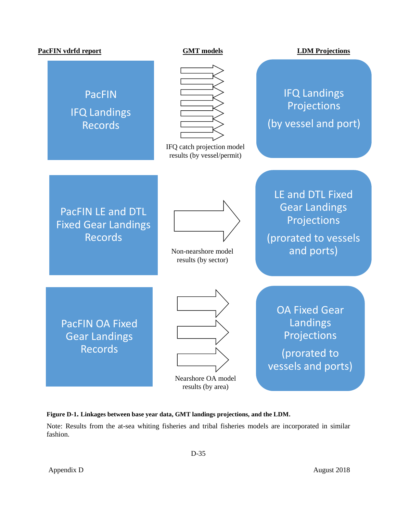#### **PacFIN vdrfd report GMT models LDM Projections**

# PacFIN IFQ Landings Records



IFQ catch projection model results (by vessel/permit)

# IFQ Landings Projections (by vessel and port)

PacFIN LE and DTL Fixed Gear Landings Records



Non-nearshore model results (by sector)

Gear Landings Projections (prorated to vessels and ports)

LE and DTL Fixed

PacFIN OA Fixed Gear Landings Records



Nearshore OA model results (by area)

OA Fixed Gear Landings Projections (prorated to

vessels and ports)

<span id="page-37-0"></span>**Figure D-1. Linkages between base year data, GMT landings projections, and the LDM.**

Note: Results from the at-sea whiting fisheries and tribal fisheries models are incorporated in similar fashion.